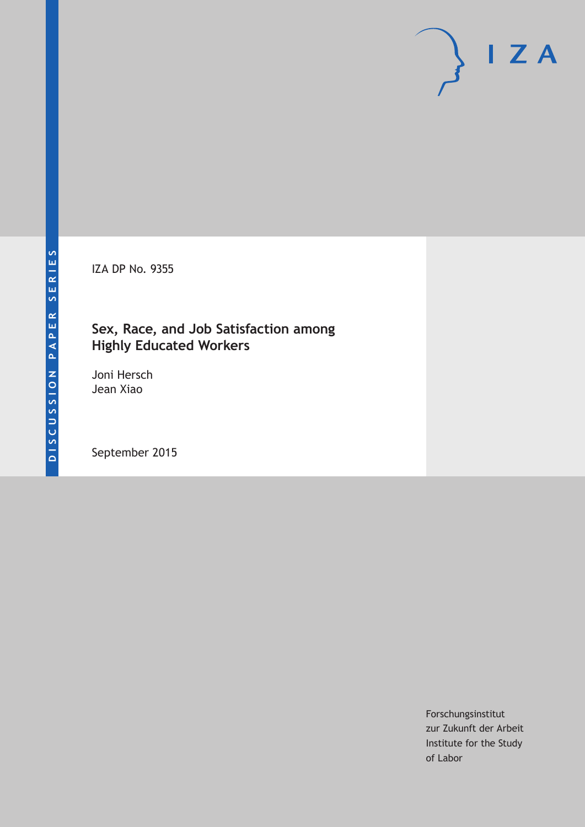IZA DP No. 9355

## **Sex, Race, and Job Satisfaction among Highly Educated Workers**

Joni Hersch Jean Xiao

September 2015

Forschungsinstitut zur Zukunft der Arbeit Institute for the Study of Labor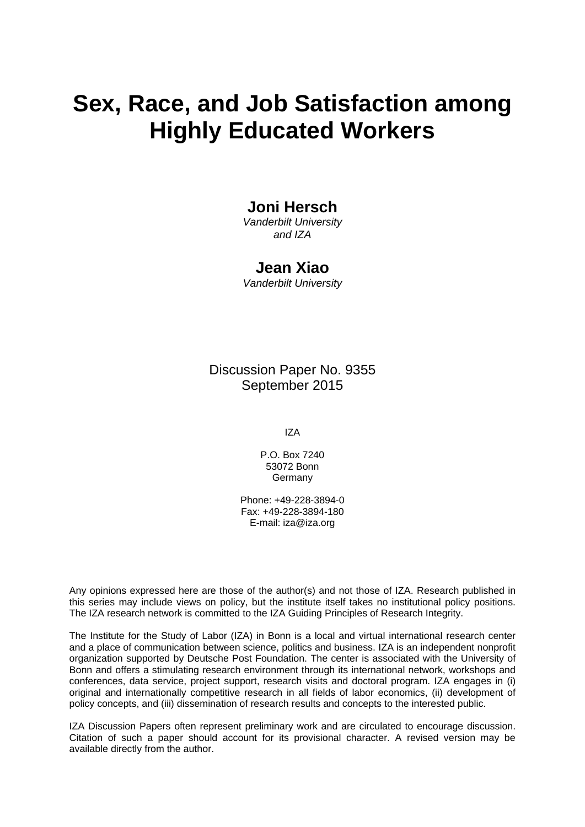# **Sex, Race, and Job Satisfaction among Highly Educated Workers**

## **Joni Hersch**

*Vanderbilt University and IZA* 

## **Jean Xiao**

*Vanderbilt University* 

Discussion Paper No. 9355 September 2015

IZA

P.O. Box 7240 53072 Bonn **Germany** 

Phone: +49-228-3894-0 Fax: +49-228-3894-180 E-mail: iza@iza.org

Any opinions expressed here are those of the author(s) and not those of IZA. Research published in this series may include views on policy, but the institute itself takes no institutional policy positions. The IZA research network is committed to the IZA Guiding Principles of Research Integrity.

The Institute for the Study of Labor (IZA) in Bonn is a local and virtual international research center and a place of communication between science, politics and business. IZA is an independent nonprofit organization supported by Deutsche Post Foundation. The center is associated with the University of Bonn and offers a stimulating research environment through its international network, workshops and conferences, data service, project support, research visits and doctoral program. IZA engages in (i) original and internationally competitive research in all fields of labor economics, (ii) development of policy concepts, and (iii) dissemination of research results and concepts to the interested public.

IZA Discussion Papers often represent preliminary work and are circulated to encourage discussion. Citation of such a paper should account for its provisional character. A revised version may be available directly from the author.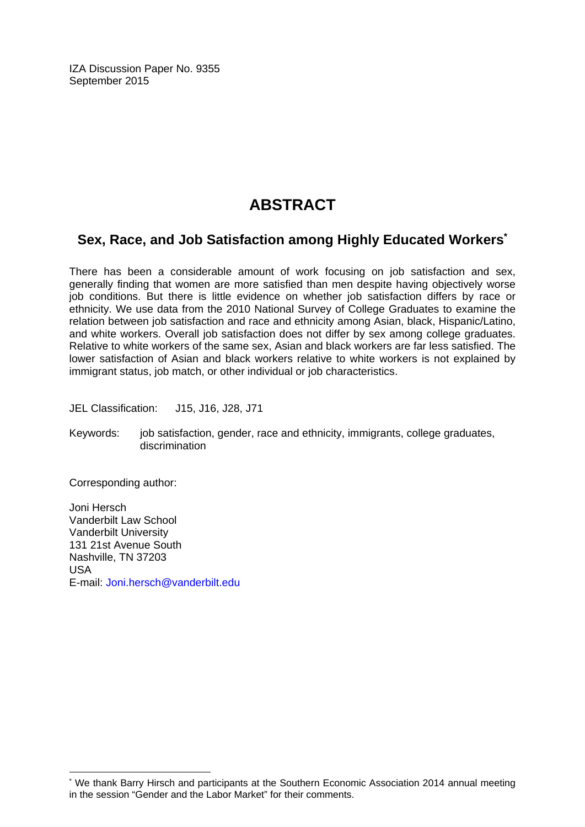IZA Discussion Paper No. 9355 September 2015

## **ABSTRACT**

## **Sex, Race, and Job Satisfaction among Highly Educated Workers\***

There has been a considerable amount of work focusing on job satisfaction and sex, generally finding that women are more satisfied than men despite having objectively worse job conditions. But there is little evidence on whether job satisfaction differs by race or ethnicity. We use data from the 2010 National Survey of College Graduates to examine the relation between job satisfaction and race and ethnicity among Asian, black, Hispanic/Latino, and white workers. Overall job satisfaction does not differ by sex among college graduates. Relative to white workers of the same sex, Asian and black workers are far less satisfied. The lower satisfaction of Asian and black workers relative to white workers is not explained by immigrant status, job match, or other individual or job characteristics.

JEL Classification: J15, J16, J28, J71

Keywords: job satisfaction, gender, race and ethnicity, immigrants, college graduates, discrimination

Corresponding author:

 $\overline{a}$ 

Joni Hersch Vanderbilt Law School Vanderbilt University 131 21st Avenue South Nashville, TN 37203 USA E-mail: Joni.hersch@vanderbilt.edu

<sup>\*</sup> We thank Barry Hirsch and participants at the Southern Economic Association 2014 annual meeting in the session "Gender and the Labor Market" for their comments.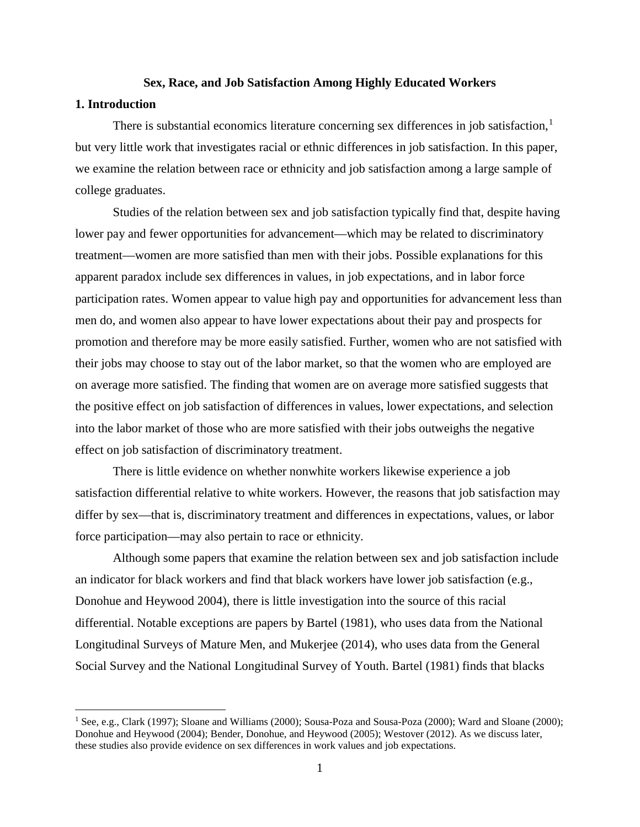#### **Sex, Race, and Job Satisfaction Among Highly Educated Workers**

#### **1. Introduction**

There is substantial economics literature concerning sex differences in job satisfaction,<sup>[1](#page-3-0)</sup> but very little work that investigates racial or ethnic differences in job satisfaction. In this paper, we examine the relation between race or ethnicity and job satisfaction among a large sample of college graduates.

Studies of the relation between sex and job satisfaction typically find that, despite having lower pay and fewer opportunities for advancement—which may be related to discriminatory treatment—women are more satisfied than men with their jobs. Possible explanations for this apparent paradox include sex differences in values, in job expectations, and in labor force participation rates. Women appear to value high pay and opportunities for advancement less than men do, and women also appear to have lower expectations about their pay and prospects for promotion and therefore may be more easily satisfied. Further, women who are not satisfied with their jobs may choose to stay out of the labor market, so that the women who are employed are on average more satisfied. The finding that women are on average more satisfied suggests that the positive effect on job satisfaction of differences in values, lower expectations, and selection into the labor market of those who are more satisfied with their jobs outweighs the negative effect on job satisfaction of discriminatory treatment.

There is little evidence on whether nonwhite workers likewise experience a job satisfaction differential relative to white workers. However, the reasons that job satisfaction may differ by sex—that is, discriminatory treatment and differences in expectations, values, or labor force participation—may also pertain to race or ethnicity.

Although some papers that examine the relation between sex and job satisfaction include an indicator for black workers and find that black workers have lower job satisfaction (e.g., Donohue and Heywood 2004), there is little investigation into the source of this racial differential. Notable exceptions are papers by Bartel (1981), who uses data from the National Longitudinal Surveys of Mature Men, and Mukerjee (2014), who uses data from the General Social Survey and the National Longitudinal Survey of Youth. Bartel (1981) finds that blacks

<span id="page-3-0"></span><sup>&</sup>lt;sup>1</sup> See, e.g., Clark (1997); Sloane and Williams (2000); Sousa-Poza and Sousa-Poza (2000); Ward and Sloane (2000); Donohue and Heywood (2004); Bender, Donohue, and Heywood (2005); Westover (2012). As we discuss later, these studies also provide evidence on sex differences in work values and job expectations.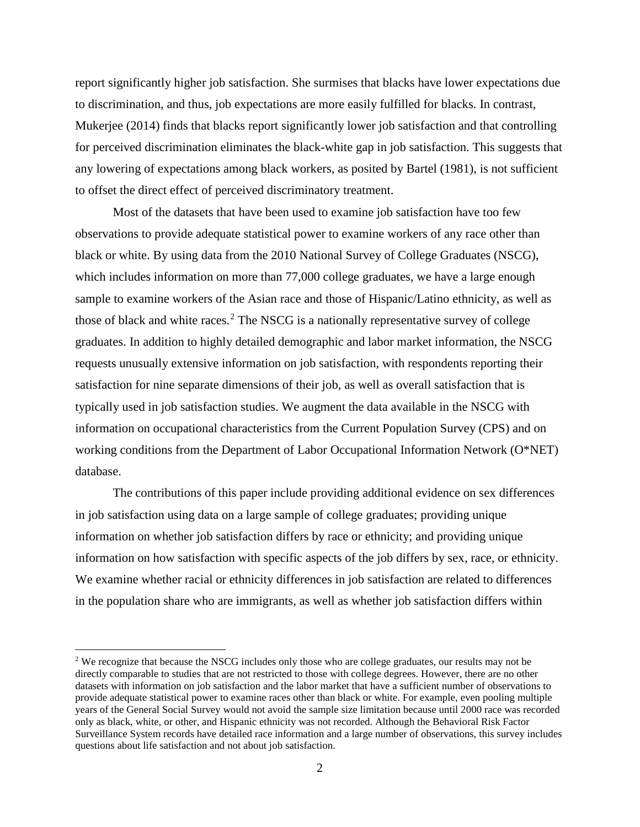report significantly higher job satisfaction. She surmises that blacks have lower expectations due to discrimination, and thus, job expectations are more easily fulfilled for blacks. In contrast, Mukerjee (2014) finds that blacks report significantly lower job satisfaction and that controlling for perceived discrimination eliminates the black-white gap in job satisfaction. This suggests that any lowering of expectations among black workers, as posited by Bartel (1981), is not sufficient to offset the direct effect of perceived discriminatory treatment.

Most of the datasets that have been used to examine job satisfaction have too few observations to provide adequate statistical power to examine workers of any race other than black or white. By using data from the 2010 National Survey of College Graduates (NSCG), which includes information on more than 77,000 college graduates, we have a large enough sample to examine workers of the Asian race and those of Hispanic/Latino ethnicity, as well as those of black and white races.<sup>[2](#page-4-0)</sup> The NSCG is a nationally representative survey of college graduates. In addition to highly detailed demographic and labor market information, the NSCG requests unusually extensive information on job satisfaction, with respondents reporting their satisfaction for nine separate dimensions of their job, as well as overall satisfaction that is typically used in job satisfaction studies. We augment the data available in the NSCG with information on occupational characteristics from the Current Population Survey (CPS) and on working conditions from the Department of Labor Occupational Information Network (O\*NET) database.

The contributions of this paper include providing additional evidence on sex differences in job satisfaction using data on a large sample of college graduates; providing unique information on whether job satisfaction differs by race or ethnicity; and providing unique information on how satisfaction with specific aspects of the job differs by sex, race, or ethnicity. We examine whether racial or ethnicity differences in job satisfaction are related to differences in the population share who are immigrants, as well as whether job satisfaction differs within

<span id="page-4-0"></span><sup>&</sup>lt;sup>2</sup> We recognize that because the NSCG includes only those who are college graduates, our results may not be directly comparable to studies that are not restricted to those with college degrees. However, there are no other datasets with information on job satisfaction and the labor market that have a sufficient number of observations to provide adequate statistical power to examine races other than black or white. For example, even pooling multiple years of the General Social Survey would not avoid the sample size limitation because until 2000 race was recorded only as black, white, or other, and Hispanic ethnicity was not recorded. Although the Behavioral Risk Factor Surveillance System records have detailed race information and a large number of observations, this survey includes questions about life satisfaction and not about job satisfaction.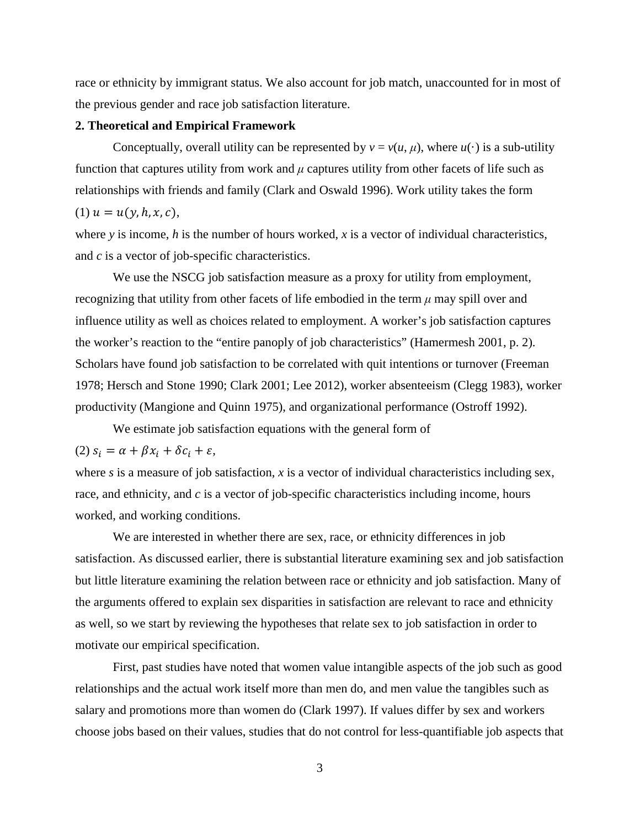race or ethnicity by immigrant status. We also account for job match, unaccounted for in most of the previous gender and race job satisfaction literature.

#### **2. Theoretical and Empirical Framework**

Conceptually, overall utility can be represented by  $v = v(u, u)$ , where  $u(\cdot)$  is a sub-utility function that captures utility from work and  $\mu$  captures utility from other facets of life such as relationships with friends and family (Clark and Oswald 1996). Work utility takes the form (1)  $u = u(y, h, x, c)$ ,

where *y* is income, *h* is the number of hours worked, *x* is a vector of individual characteristics, and *c* is a vector of job-specific characteristics.

We use the NSCG job satisfaction measure as a proxy for utility from employment, recognizing that utility from other facets of life embodied in the term *μ* may spill over and influence utility as well as choices related to employment. A worker's job satisfaction captures the worker's reaction to the "entire panoply of job characteristics" (Hamermesh 2001, p. 2). Scholars have found job satisfaction to be correlated with quit intentions or turnover (Freeman 1978; Hersch and Stone 1990; Clark 2001; Lee 2012), worker absenteeism (Clegg 1983), worker productivity (Mangione and Quinn 1975), and organizational performance (Ostroff 1992).

We estimate job satisfaction equations with the general form of

$$
(2) s_i = \alpha + \beta x_i + \delta c_i + \varepsilon,
$$

where *s* is a measure of job satisfaction, *x* is a vector of individual characteristics including sex, race, and ethnicity, and *c* is a vector of job-specific characteristics including income, hours worked, and working conditions.

We are interested in whether there are sex, race, or ethnicity differences in job satisfaction. As discussed earlier, there is substantial literature examining sex and job satisfaction but little literature examining the relation between race or ethnicity and job satisfaction. Many of the arguments offered to explain sex disparities in satisfaction are relevant to race and ethnicity as well, so we start by reviewing the hypotheses that relate sex to job satisfaction in order to motivate our empirical specification.

First, past studies have noted that women value intangible aspects of the job such as good relationships and the actual work itself more than men do, and men value the tangibles such as salary and promotions more than women do (Clark 1997). If values differ by sex and workers choose jobs based on their values, studies that do not control for less-quantifiable job aspects that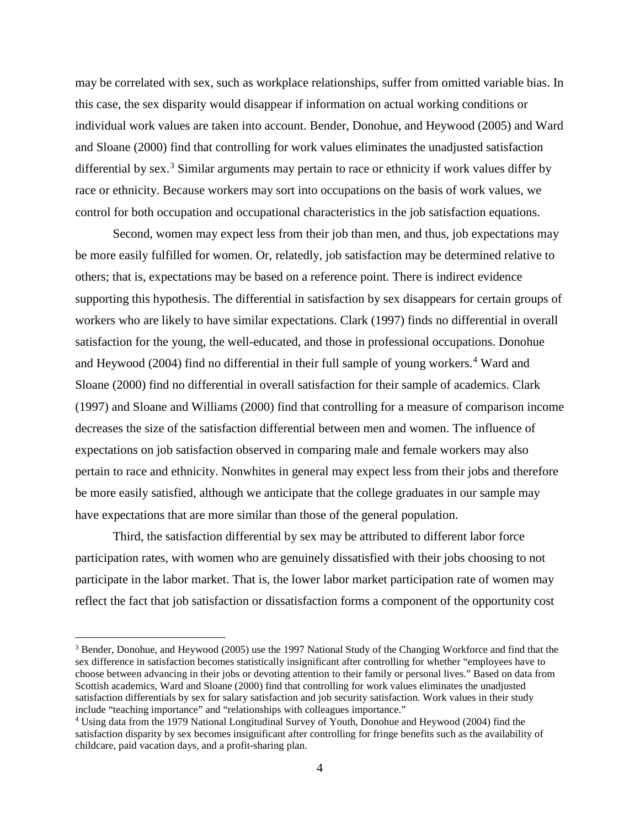may be correlated with sex, such as workplace relationships, suffer from omitted variable bias. In this case, the sex disparity would disappear if information on actual working conditions or individual work values are taken into account. Bender, Donohue, and Heywood (2005) and Ward and Sloane (2000) find that controlling for work values eliminates the unadjusted satisfaction differential by sex. [3](#page-6-0) Similar arguments may pertain to race or ethnicity if work values differ by race or ethnicity. Because workers may sort into occupations on the basis of work values, we control for both occupation and occupational characteristics in the job satisfaction equations.

Second, women may expect less from their job than men, and thus, job expectations may be more easily fulfilled for women. Or, relatedly, job satisfaction may be determined relative to others; that is, expectations may be based on a reference point. There is indirect evidence supporting this hypothesis. The differential in satisfaction by sex disappears for certain groups of workers who are likely to have similar expectations. Clark (1997) finds no differential in overall satisfaction for the young, the well-educated, and those in professional occupations. Donohue and Heywood (200[4](#page-6-1)) find no differential in their full sample of young workers.<sup>4</sup> Ward and Sloane (2000) find no differential in overall satisfaction for their sample of academics. Clark (1997) and Sloane and Williams (2000) find that controlling for a measure of comparison income decreases the size of the satisfaction differential between men and women. The influence of expectations on job satisfaction observed in comparing male and female workers may also pertain to race and ethnicity. Nonwhites in general may expect less from their jobs and therefore be more easily satisfied, although we anticipate that the college graduates in our sample may have expectations that are more similar than those of the general population.

Third, the satisfaction differential by sex may be attributed to different labor force participation rates, with women who are genuinely dissatisfied with their jobs choosing to not participate in the labor market. That is, the lower labor market participation rate of women may reflect the fact that job satisfaction or dissatisfaction forms a component of the opportunity cost

<span id="page-6-0"></span><sup>&</sup>lt;sup>3</sup> Bender, Donohue, and Heywood (2005) use the 1997 National Study of the Changing Workforce and find that the sex difference in satisfaction becomes statistically insignificant after controlling for whether "employees have to choose between advancing in their jobs or devoting attention to their family or personal lives." Based on data from Scottish academics, Ward and Sloane (2000) find that controlling for work values eliminates the unadjusted satisfaction differentials by sex for salary satisfaction and job security satisfaction. Work values in their study include "teaching importance" and "relationships with colleagues importance."

<span id="page-6-1"></span><sup>&</sup>lt;sup>4</sup> Using data from the 1979 National Longitudinal Survey of Youth, Donohue and Heywood (2004) find the satisfaction disparity by sex becomes insignificant after controlling for fringe benefits such as the availability of childcare, paid vacation days, and a profit-sharing plan.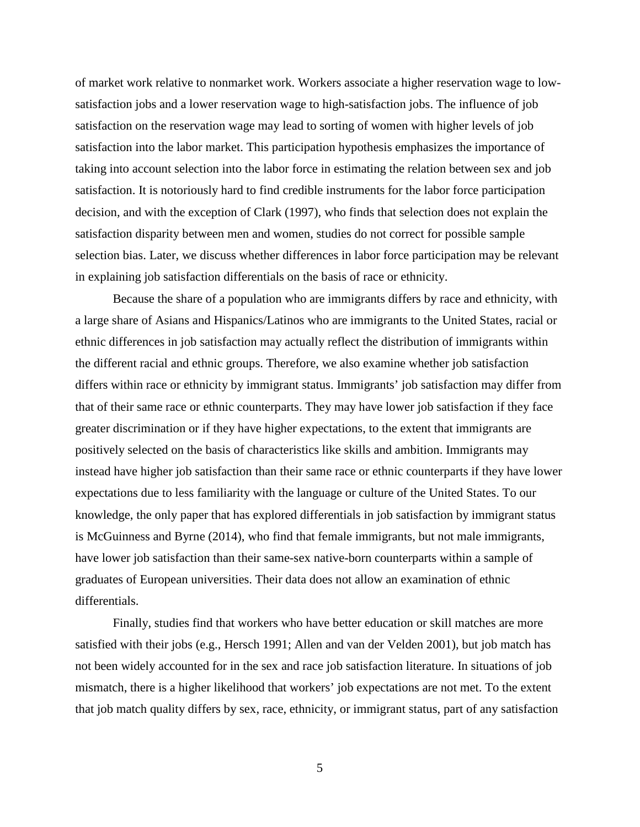of market work relative to nonmarket work. Workers associate a higher reservation wage to lowsatisfaction jobs and a lower reservation wage to high-satisfaction jobs. The influence of job satisfaction on the reservation wage may lead to sorting of women with higher levels of job satisfaction into the labor market. This participation hypothesis emphasizes the importance of taking into account selection into the labor force in estimating the relation between sex and job satisfaction. It is notoriously hard to find credible instruments for the labor force participation decision, and with the exception of Clark (1997), who finds that selection does not explain the satisfaction disparity between men and women, studies do not correct for possible sample selection bias. Later, we discuss whether differences in labor force participation may be relevant in explaining job satisfaction differentials on the basis of race or ethnicity.

Because the share of a population who are immigrants differs by race and ethnicity, with a large share of Asians and Hispanics/Latinos who are immigrants to the United States, racial or ethnic differences in job satisfaction may actually reflect the distribution of immigrants within the different racial and ethnic groups. Therefore, we also examine whether job satisfaction differs within race or ethnicity by immigrant status. Immigrants' job satisfaction may differ from that of their same race or ethnic counterparts. They may have lower job satisfaction if they face greater discrimination or if they have higher expectations, to the extent that immigrants are positively selected on the basis of characteristics like skills and ambition. Immigrants may instead have higher job satisfaction than their same race or ethnic counterparts if they have lower expectations due to less familiarity with the language or culture of the United States. To our knowledge, the only paper that has explored differentials in job satisfaction by immigrant status is McGuinness and Byrne (2014), who find that female immigrants, but not male immigrants, have lower job satisfaction than their same-sex native-born counterparts within a sample of graduates of European universities. Their data does not allow an examination of ethnic differentials.

Finally, studies find that workers who have better education or skill matches are more satisfied with their jobs (e.g., Hersch 1991; Allen and van der Velden 2001), but job match has not been widely accounted for in the sex and race job satisfaction literature. In situations of job mismatch, there is a higher likelihood that workers' job expectations are not met. To the extent that job match quality differs by sex, race, ethnicity, or immigrant status, part of any satisfaction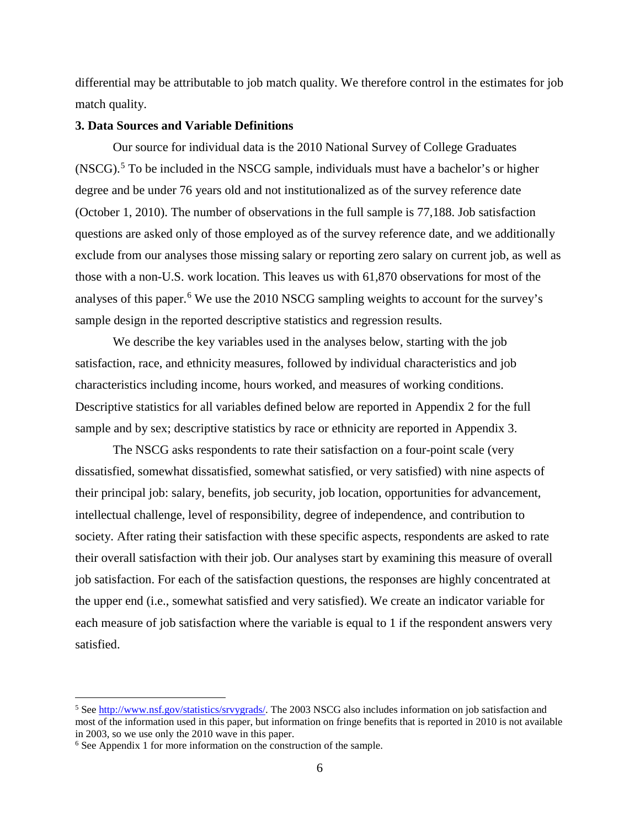differential may be attributable to job match quality. We therefore control in the estimates for job match quality.

#### **3. Data Sources and Variable Definitions**

Our source for individual data is the 2010 National Survey of College Graduates (NSCG).[5](#page-8-0) To be included in the NSCG sample, individuals must have a bachelor's or higher degree and be under 76 years old and not institutionalized as of the survey reference date (October 1, 2010). The number of observations in the full sample is 77,188. Job satisfaction questions are asked only of those employed as of the survey reference date, and we additionally exclude from our analyses those missing salary or reporting zero salary on current job, as well as those with a non-U.S. work location. This leaves us with 61,870 observations for most of the analyses of this paper.<sup>[6](#page-8-1)</sup> We use the 2010 NSCG sampling weights to account for the survey's sample design in the reported descriptive statistics and regression results.

We describe the key variables used in the analyses below, starting with the job satisfaction, race, and ethnicity measures, followed by individual characteristics and job characteristics including income, hours worked, and measures of working conditions. Descriptive statistics for all variables defined below are reported in Appendix 2 for the full sample and by sex; descriptive statistics by race or ethnicity are reported in Appendix 3.

The NSCG asks respondents to rate their satisfaction on a four-point scale (very dissatisfied, somewhat dissatisfied, somewhat satisfied, or very satisfied) with nine aspects of their principal job: salary, benefits, job security, job location, opportunities for advancement, intellectual challenge, level of responsibility, degree of independence, and contribution to society. After rating their satisfaction with these specific aspects, respondents are asked to rate their overall satisfaction with their job. Our analyses start by examining this measure of overall job satisfaction. For each of the satisfaction questions, the responses are highly concentrated at the upper end (i.e., somewhat satisfied and very satisfied). We create an indicator variable for each measure of job satisfaction where the variable is equal to 1 if the respondent answers very satisfied.

<span id="page-8-0"></span> <sup>5</sup> Se[e http://www.nsf.gov/statistics/srvygrads/.](http://www.nsf.gov/statistics/srvygrads/) The 2003 NSCG also includes information on job satisfaction and most of the information used in this paper, but information on fringe benefits that is reported in 2010 is not available in 2003, so we use only the 2010 wave in this paper.

<span id="page-8-1"></span><sup>&</sup>lt;sup>6</sup> See Appendix 1 for more information on the construction of the sample.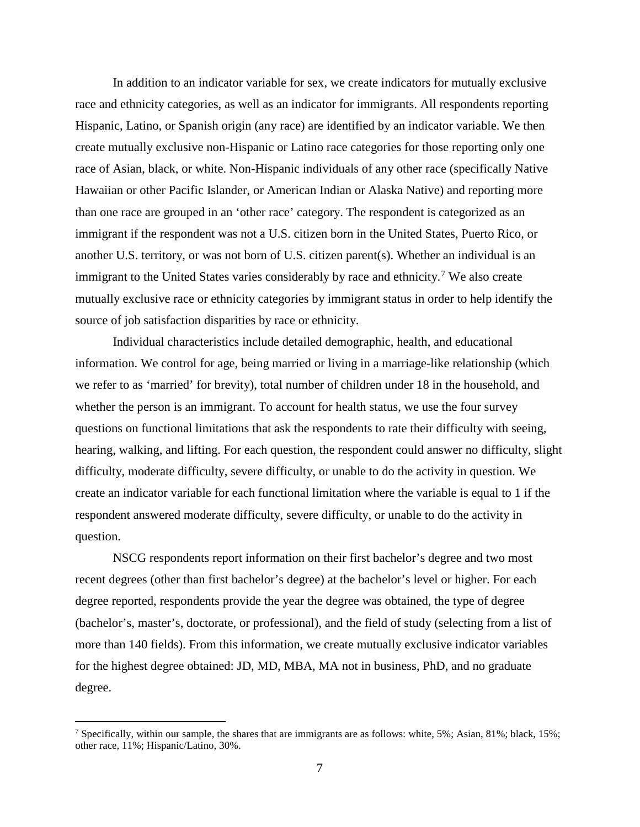In addition to an indicator variable for sex, we create indicators for mutually exclusive race and ethnicity categories, as well as an indicator for immigrants. All respondents reporting Hispanic, Latino, or Spanish origin (any race) are identified by an indicator variable. We then create mutually exclusive non-Hispanic or Latino race categories for those reporting only one race of Asian, black, or white. Non-Hispanic individuals of any other race (specifically Native Hawaiian or other Pacific Islander, or American Indian or Alaska Native) and reporting more than one race are grouped in an 'other race' category. The respondent is categorized as an immigrant if the respondent was not a U.S. citizen born in the United States, Puerto Rico, or another U.S. territory, or was not born of U.S. citizen parent(s). Whether an individual is an immigrant to the United States varies considerably by race and ethnicity.<sup>[7](#page-9-0)</sup> We also create mutually exclusive race or ethnicity categories by immigrant status in order to help identify the source of job satisfaction disparities by race or ethnicity.

Individual characteristics include detailed demographic, health, and educational information. We control for age, being married or living in a marriage-like relationship (which we refer to as 'married' for brevity), total number of children under 18 in the household, and whether the person is an immigrant. To account for health status, we use the four survey questions on functional limitations that ask the respondents to rate their difficulty with seeing, hearing, walking, and lifting. For each question, the respondent could answer no difficulty, slight difficulty, moderate difficulty, severe difficulty, or unable to do the activity in question. We create an indicator variable for each functional limitation where the variable is equal to 1 if the respondent answered moderate difficulty, severe difficulty, or unable to do the activity in question.

NSCG respondents report information on their first bachelor's degree and two most recent degrees (other than first bachelor's degree) at the bachelor's level or higher. For each degree reported, respondents provide the year the degree was obtained, the type of degree (bachelor's, master's, doctorate, or professional), and the field of study (selecting from a list of more than 140 fields). From this information, we create mutually exclusive indicator variables for the highest degree obtained: JD, MD, MBA, MA not in business, PhD, and no graduate degree.

<span id="page-9-0"></span><sup>&</sup>lt;sup>7</sup> Specifically, within our sample, the shares that are immigrants are as follows: white, 5%; Asian, 81%; black, 15%; other race, 11%; Hispanic/Latino, 30%.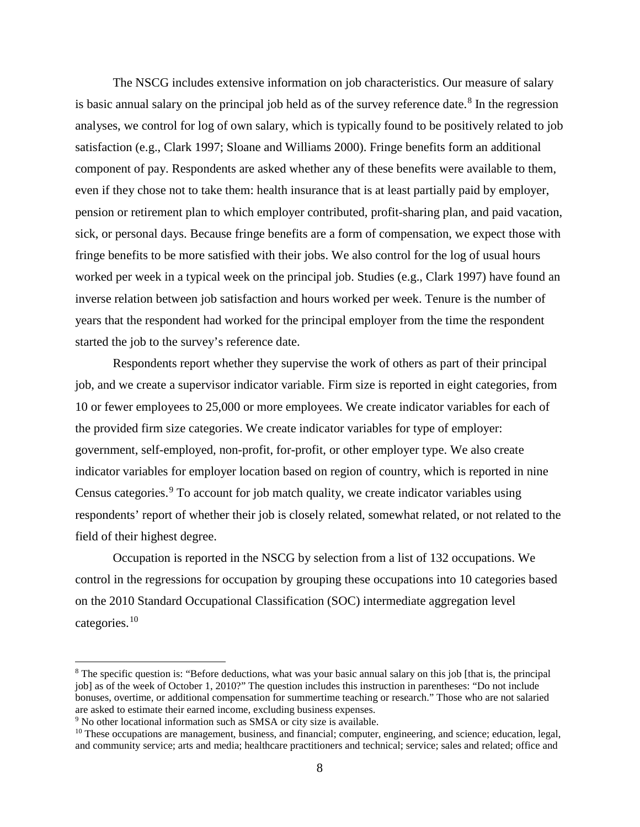The NSCG includes extensive information on job characteristics. Our measure of salary is basic annual salary on the principal job held as of the survey reference date.<sup>[8](#page-10-0)</sup> In the regression analyses, we control for log of own salary, which is typically found to be positively related to job satisfaction (e.g., Clark 1997; Sloane and Williams 2000). Fringe benefits form an additional component of pay. Respondents are asked whether any of these benefits were available to them, even if they chose not to take them: health insurance that is at least partially paid by employer, pension or retirement plan to which employer contributed, profit-sharing plan, and paid vacation, sick, or personal days. Because fringe benefits are a form of compensation, we expect those with fringe benefits to be more satisfied with their jobs. We also control for the log of usual hours worked per week in a typical week on the principal job. Studies (e.g., Clark 1997) have found an inverse relation between job satisfaction and hours worked per week. Tenure is the number of years that the respondent had worked for the principal employer from the time the respondent started the job to the survey's reference date.

Respondents report whether they supervise the work of others as part of their principal job, and we create a supervisor indicator variable. Firm size is reported in eight categories, from 10 or fewer employees to 25,000 or more employees. We create indicator variables for each of the provided firm size categories. We create indicator variables for type of employer: government, self-employed, non-profit, for-profit, or other employer type. We also create indicator variables for employer location based on region of country, which is reported in nine Census categories.<sup>[9](#page-10-1)</sup> To account for job match quality, we create indicator variables using respondents' report of whether their job is closely related, somewhat related, or not related to the field of their highest degree.

Occupation is reported in the NSCG by selection from a list of 132 occupations. We control in the regressions for occupation by grouping these occupations into 10 categories based on the 2010 Standard Occupational Classification (SOC) intermediate aggregation level categories.[10](#page-10-2)

<span id="page-10-0"></span> <sup>8</sup> The specific question is: "Before deductions, what was your basic annual salary on this job [that is, the principal job] as of the week of October 1, 2010?" The question includes this instruction in parentheses: "Do not include bonuses, overtime, or additional compensation for summertime teaching or research." Those who are not salaried

<span id="page-10-2"></span>

<span id="page-10-1"></span> $9$  No other locational information such as SMSA or city size is available.<br><sup>10</sup> These occupations are management, business, and financial; computer, engineering, and science; education, legal, and community service; arts and media; healthcare practitioners and technical; service; sales and related; office and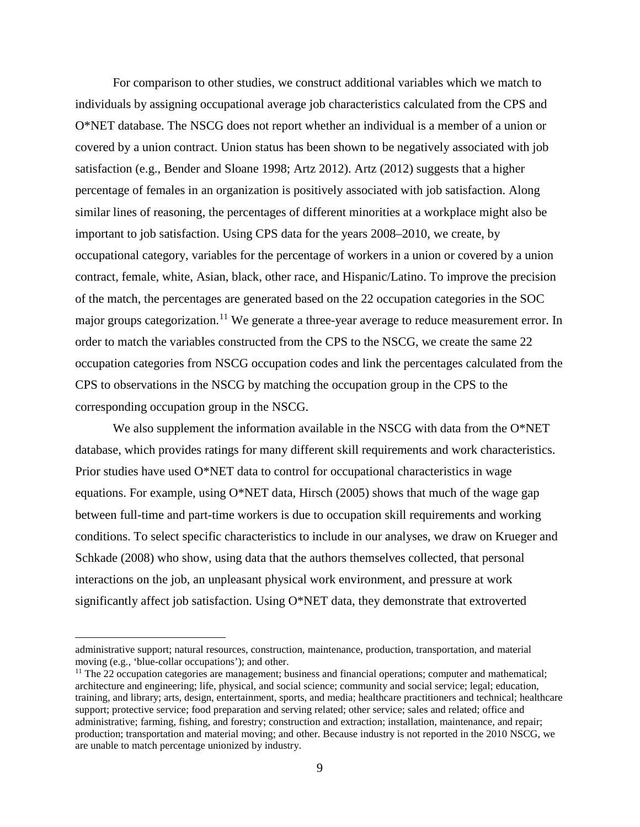For comparison to other studies, we construct additional variables which we match to individuals by assigning occupational average job characteristics calculated from the CPS and O\*NET database. The NSCG does not report whether an individual is a member of a union or covered by a union contract. Union status has been shown to be negatively associated with job satisfaction (e.g., Bender and Sloane 1998; Artz 2012). Artz (2012) suggests that a higher percentage of females in an organization is positively associated with job satisfaction. Along similar lines of reasoning, the percentages of different minorities at a workplace might also be important to job satisfaction. Using CPS data for the years 2008–2010, we create, by occupational category, variables for the percentage of workers in a union or covered by a union contract, female, white, Asian, black, other race, and Hispanic/Latino. To improve the precision of the match, the percentages are generated based on the 22 occupation categories in the SOC major groups categorization.<sup>[11](#page-11-0)</sup> We generate a three-year average to reduce measurement error. In order to match the variables constructed from the CPS to the NSCG, we create the same 22 occupation categories from NSCG occupation codes and link the percentages calculated from the CPS to observations in the NSCG by matching the occupation group in the CPS to the corresponding occupation group in the NSCG.

We also supplement the information available in the NSCG with data from the O\*NET database, which provides ratings for many different skill requirements and work characteristics. Prior studies have used O\*NET data to control for occupational characteristics in wage equations. For example, using O\*NET data, Hirsch (2005) shows that much of the wage gap between full-time and part-time workers is due to occupation skill requirements and working conditions. To select specific characteristics to include in our analyses, we draw on Krueger and Schkade (2008) who show, using data that the authors themselves collected, that personal interactions on the job, an unpleasant physical work environment, and pressure at work significantly affect job satisfaction. Using O\*NET data, they demonstrate that extroverted

 $\overline{a}$ 

administrative support; natural resources, construction, maintenance, production, transportation, and material moving (e.g., 'blue-collar occupations'); and other.

<span id="page-11-0"></span><sup>&</sup>lt;sup>11</sup> The 22 occupation categories are management; business and financial operations; computer and mathematical; architecture and engineering; life, physical, and social science; community and social service; legal; education, training, and library; arts, design, entertainment, sports, and media; healthcare practitioners and technical; healthcare support; protective service; food preparation and serving related; other service; sales and related; office and administrative; farming, fishing, and forestry; construction and extraction; installation, maintenance, and repair; production; transportation and material moving; and other. Because industry is not reported in the 2010 NSCG, we are unable to match percentage unionized by industry.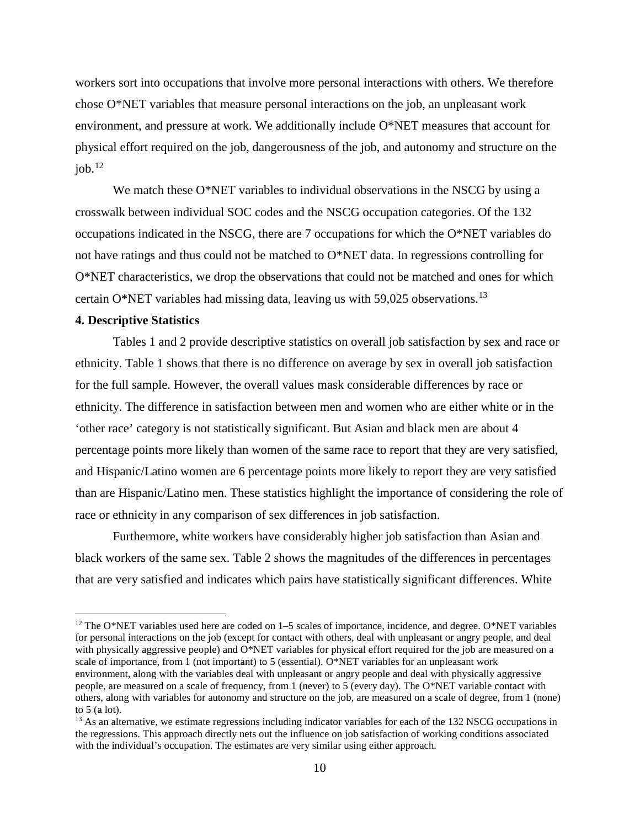workers sort into occupations that involve more personal interactions with others. We therefore chose O\*NET variables that measure personal interactions on the job, an unpleasant work environment, and pressure at work. We additionally include O\*NET measures that account for physical effort required on the job, dangerousness of the job, and autonomy and structure on the  $job.<sup>12</sup>$  $job.<sup>12</sup>$  $job.<sup>12</sup>$ 

We match these  $O^*NET$  variables to individual observations in the NSCG by using a crosswalk between individual SOC codes and the NSCG occupation categories. Of the 132 occupations indicated in the NSCG, there are 7 occupations for which the O\*NET variables do not have ratings and thus could not be matched to O\*NET data. In regressions controlling for O\*NET characteristics, we drop the observations that could not be matched and ones for which certain O\*NET variables had missing data, leaving us with 59,025 observations. [13](#page-12-1)

#### **4. Descriptive Statistics**

Tables 1 and 2 provide descriptive statistics on overall job satisfaction by sex and race or ethnicity. Table 1 shows that there is no difference on average by sex in overall job satisfaction for the full sample. However, the overall values mask considerable differences by race or ethnicity. The difference in satisfaction between men and women who are either white or in the 'other race' category is not statistically significant. But Asian and black men are about 4 percentage points more likely than women of the same race to report that they are very satisfied, and Hispanic/Latino women are 6 percentage points more likely to report they are very satisfied than are Hispanic/Latino men. These statistics highlight the importance of considering the role of race or ethnicity in any comparison of sex differences in job satisfaction.

Furthermore, white workers have considerably higher job satisfaction than Asian and black workers of the same sex. Table 2 shows the magnitudes of the differences in percentages that are very satisfied and indicates which pairs have statistically significant differences. White

<span id="page-12-0"></span><sup>&</sup>lt;sup>12</sup> The O\*NET variables used here are coded on 1–5 scales of importance, incidence, and degree. O\*NET variables for personal interactions on the job (except for contact with others, deal with unpleasant or angry people, and deal with physically aggressive people) and O\*NET variables for physical effort required for the job are measured on a scale of importance, from 1 (not important) to 5 (essential).  $\overline{O^*NET}$  variables for an unpleasant work environment, along with the variables deal with unpleasant or angry people and deal with physically aggressive people, are measured on a scale of frequency, from 1 (never) to 5 (every day). The O\*NET variable contact with others, along with variables for autonomy and structure on the job, are measured on a scale of degree, from 1 (none) to  $5$  (a lot).

<span id="page-12-1"></span><sup>&</sup>lt;sup>13</sup> As an alternative, we estimate regressions including indicator variables for each of the 132 NSCG occupations in the regressions. This approach directly nets out the influence on job satisfaction of working conditions associated with the individual's occupation. The estimates are very similar using either approach.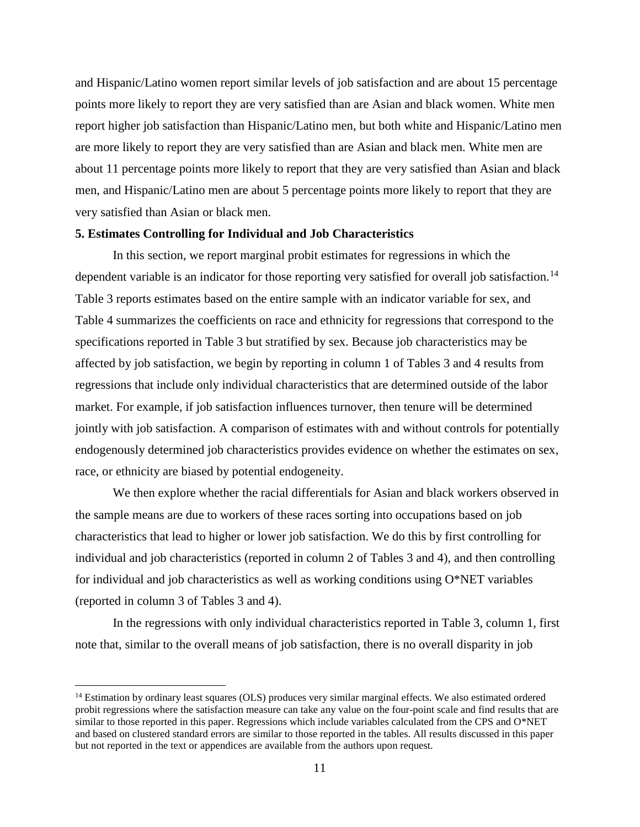and Hispanic/Latino women report similar levels of job satisfaction and are about 15 percentage points more likely to report they are very satisfied than are Asian and black women. White men report higher job satisfaction than Hispanic/Latino men, but both white and Hispanic/Latino men are more likely to report they are very satisfied than are Asian and black men. White men are about 11 percentage points more likely to report that they are very satisfied than Asian and black men, and Hispanic/Latino men are about 5 percentage points more likely to report that they are very satisfied than Asian or black men.

#### **5. Estimates Controlling for Individual and Job Characteristics**

In this section, we report marginal probit estimates for regressions in which the dependent variable is an indicator for those reporting very satisfied for overall job satisfaction.<sup>[14](#page-13-0)</sup> Table 3 reports estimates based on the entire sample with an indicator variable for sex, and Table 4 summarizes the coefficients on race and ethnicity for regressions that correspond to the specifications reported in Table 3 but stratified by sex. Because job characteristics may be affected by job satisfaction, we begin by reporting in column 1 of Tables 3 and 4 results from regressions that include only individual characteristics that are determined outside of the labor market. For example, if job satisfaction influences turnover, then tenure will be determined jointly with job satisfaction. A comparison of estimates with and without controls for potentially endogenously determined job characteristics provides evidence on whether the estimates on sex, race, or ethnicity are biased by potential endogeneity.

We then explore whether the racial differentials for Asian and black workers observed in the sample means are due to workers of these races sorting into occupations based on job characteristics that lead to higher or lower job satisfaction. We do this by first controlling for individual and job characteristics (reported in column 2 of Tables 3 and 4), and then controlling for individual and job characteristics as well as working conditions using O\*NET variables (reported in column 3 of Tables 3 and 4).

In the regressions with only individual characteristics reported in Table 3, column 1, first note that, similar to the overall means of job satisfaction, there is no overall disparity in job

<span id="page-13-0"></span><sup>&</sup>lt;sup>14</sup> Estimation by ordinary least squares (OLS) produces very similar marginal effects. We also estimated ordered probit regressions where the satisfaction measure can take any value on the four-point scale and find results that are similar to those reported in this paper. Regressions which include variables calculated from the CPS and O\*NET and based on clustered standard errors are similar to those reported in the tables. All results discussed in this paper but not reported in the text or appendices are available from the authors upon request.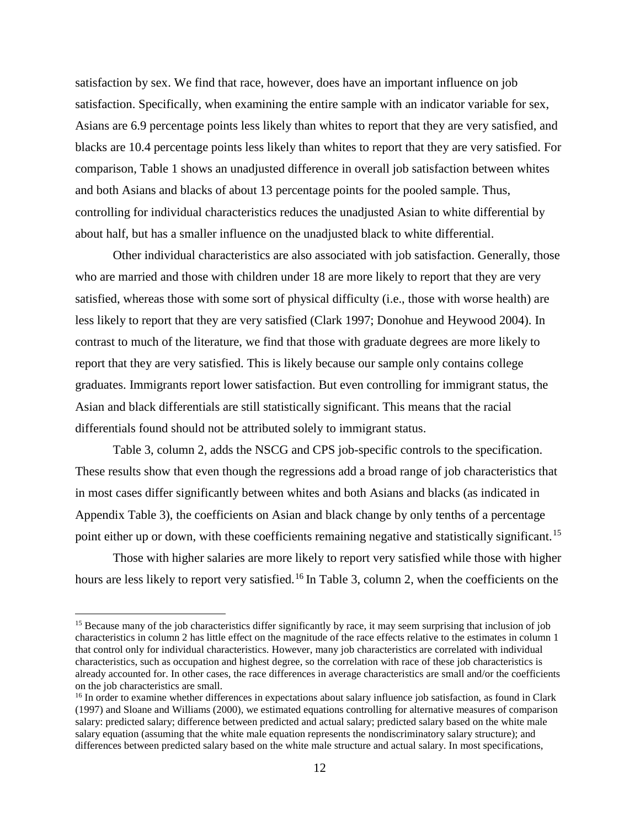satisfaction by sex. We find that race, however, does have an important influence on job satisfaction. Specifically, when examining the entire sample with an indicator variable for sex, Asians are 6.9 percentage points less likely than whites to report that they are very satisfied, and blacks are 10.4 percentage points less likely than whites to report that they are very satisfied. For comparison, Table 1 shows an unadjusted difference in overall job satisfaction between whites and both Asians and blacks of about 13 percentage points for the pooled sample. Thus, controlling for individual characteristics reduces the unadjusted Asian to white differential by about half, but has a smaller influence on the unadjusted black to white differential.

Other individual characteristics are also associated with job satisfaction. Generally, those who are married and those with children under 18 are more likely to report that they are very satisfied, whereas those with some sort of physical difficulty (i.e., those with worse health) are less likely to report that they are very satisfied (Clark 1997; Donohue and Heywood 2004). In contrast to much of the literature, we find that those with graduate degrees are more likely to report that they are very satisfied. This is likely because our sample only contains college graduates. Immigrants report lower satisfaction. But even controlling for immigrant status, the Asian and black differentials are still statistically significant. This means that the racial differentials found should not be attributed solely to immigrant status.

Table 3, column 2, adds the NSCG and CPS job-specific controls to the specification. These results show that even though the regressions add a broad range of job characteristics that in most cases differ significantly between whites and both Asians and blacks (as indicated in Appendix Table 3), the coefficients on Asian and black change by only tenths of a percentage point either up or down, with these coefficients remaining negative and statistically significant.<sup>[15](#page-14-0)</sup>

Those with higher salaries are more likely to report very satisfied while those with higher hours are less likely to report very satisfied.<sup>[16](#page-14-1)</sup> In Table 3, column 2, when the coefficients on the

<span id="page-14-0"></span><sup>&</sup>lt;sup>15</sup> Because many of the job characteristics differ significantly by race, it may seem surprising that inclusion of job characteristics in column 2 has little effect on the magnitude of the race effects relative to the estimates in column 1 that control only for individual characteristics. However, many job characteristics are correlated with individual characteristics, such as occupation and highest degree, so the correlation with race of these job characteristics is already accounted for. In other cases, the race differences in average characteristics are small and/or the coefficients on the job characteristics are small.<br><sup>16</sup> In order to examine whether differences in expectations about salary influence job satisfaction, as found in Clark

<span id="page-14-1"></span><sup>(1997)</sup> and Sloane and Williams (2000), we estimated equations controlling for alternative measures of comparison salary: predicted salary; difference between predicted and actual salary; predicted salary based on the white male salary equation (assuming that the white male equation represents the nondiscriminatory salary structure); and differences between predicted salary based on the white male structure and actual salary. In most specifications,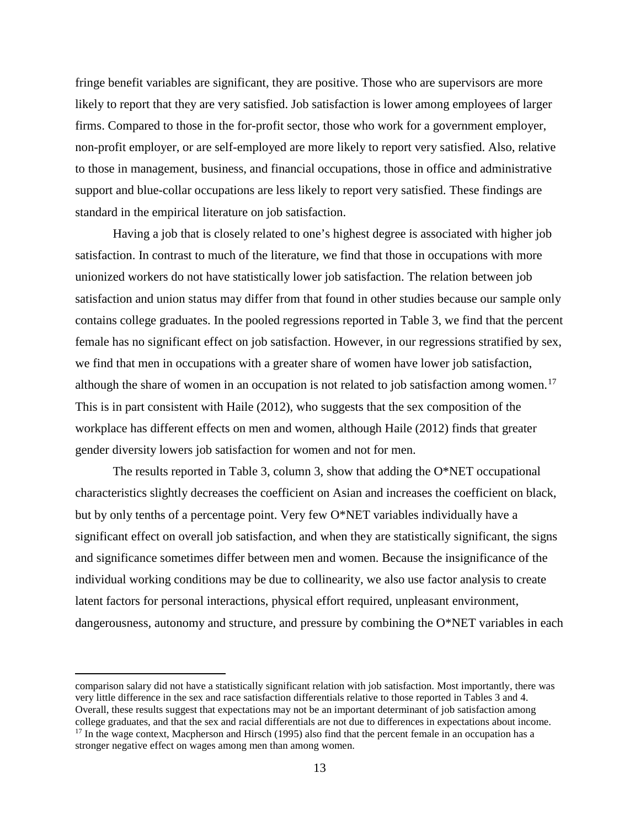fringe benefit variables are significant, they are positive. Those who are supervisors are more likely to report that they are very satisfied. Job satisfaction is lower among employees of larger firms. Compared to those in the for-profit sector, those who work for a government employer, non-profit employer, or are self-employed are more likely to report very satisfied. Also, relative to those in management, business, and financial occupations, those in office and administrative support and blue-collar occupations are less likely to report very satisfied. These findings are standard in the empirical literature on job satisfaction.

Having a job that is closely related to one's highest degree is associated with higher job satisfaction. In contrast to much of the literature, we find that those in occupations with more unionized workers do not have statistically lower job satisfaction. The relation between job satisfaction and union status may differ from that found in other studies because our sample only contains college graduates. In the pooled regressions reported in Table 3, we find that the percent female has no significant effect on job satisfaction. However, in our regressions stratified by sex, we find that men in occupations with a greater share of women have lower job satisfaction, although the share of women in an occupation is not related to job satisfaction among women.<sup>[17](#page-15-0)</sup> This is in part consistent with Haile (2012), who suggests that the sex composition of the workplace has different effects on men and women, although Haile (2012) finds that greater gender diversity lowers job satisfaction for women and not for men.

The results reported in Table 3, column 3, show that adding the  $O^*NET$  occupational characteristics slightly decreases the coefficient on Asian and increases the coefficient on black, but by only tenths of a percentage point. Very few O\*NET variables individually have a significant effect on overall job satisfaction, and when they are statistically significant, the signs and significance sometimes differ between men and women. Because the insignificance of the individual working conditions may be due to collinearity, we also use factor analysis to create latent factors for personal interactions, physical effort required, unpleasant environment, dangerousness, autonomy and structure, and pressure by combining the O\*NET variables in each

 $\overline{a}$ 

<span id="page-15-0"></span>comparison salary did not have a statistically significant relation with job satisfaction. Most importantly, there was very little difference in the sex and race satisfaction differentials relative to those reported in Tables 3 and 4. Overall, these results suggest that expectations may not be an important determinant of job satisfaction among college graduates, and that the sex and racial differentials are not due to differences in expectations about income. <sup>17</sup> In the wage context, Macpherson and Hirsch (1995) also find that the percent female in an occupation has a stronger negative effect on wages among men than among women.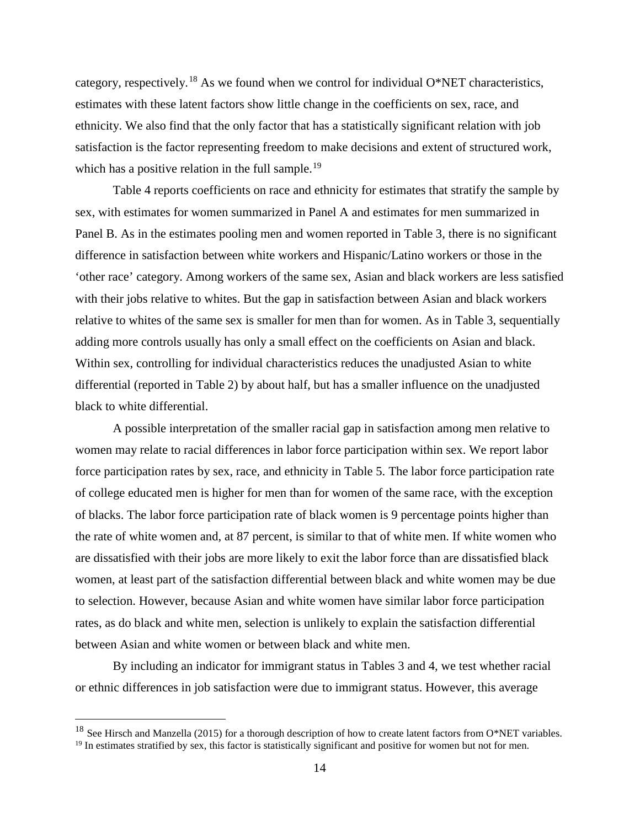category, respectively.<sup>[18](#page-16-0)</sup> As we found when we control for individual  $O*NET$  characteristics, estimates with these latent factors show little change in the coefficients on sex, race, and ethnicity. We also find that the only factor that has a statistically significant relation with job satisfaction is the factor representing freedom to make decisions and extent of structured work, which has a positive relation in the full sample.<sup>[19](#page-16-1)</sup>

Table 4 reports coefficients on race and ethnicity for estimates that stratify the sample by sex, with estimates for women summarized in Panel A and estimates for men summarized in Panel B. As in the estimates pooling men and women reported in Table 3, there is no significant difference in satisfaction between white workers and Hispanic/Latino workers or those in the 'other race' category. Among workers of the same sex, Asian and black workers are less satisfied with their jobs relative to whites. But the gap in satisfaction between Asian and black workers relative to whites of the same sex is smaller for men than for women. As in Table 3, sequentially adding more controls usually has only a small effect on the coefficients on Asian and black. Within sex, controlling for individual characteristics reduces the unadjusted Asian to white differential (reported in Table 2) by about half, but has a smaller influence on the unadjusted black to white differential.

A possible interpretation of the smaller racial gap in satisfaction among men relative to women may relate to racial differences in labor force participation within sex. We report labor force participation rates by sex, race, and ethnicity in Table 5. The labor force participation rate of college educated men is higher for men than for women of the same race, with the exception of blacks. The labor force participation rate of black women is 9 percentage points higher than the rate of white women and, at 87 percent, is similar to that of white men. If white women who are dissatisfied with their jobs are more likely to exit the labor force than are dissatisfied black women, at least part of the satisfaction differential between black and white women may be due to selection. However, because Asian and white women have similar labor force participation rates, as do black and white men, selection is unlikely to explain the satisfaction differential between Asian and white women or between black and white men.

By including an indicator for immigrant status in Tables 3 and 4, we test whether racial or ethnic differences in job satisfaction were due to immigrant status. However, this average

<span id="page-16-1"></span><span id="page-16-0"></span><sup>&</sup>lt;sup>18</sup> See Hirsch and Manzella (2015) for a thorough description of how to create latent factors from O\*NET variables.  $19$  In estimates stratified by sex, this factor is statistically significant and positive for women but not for men.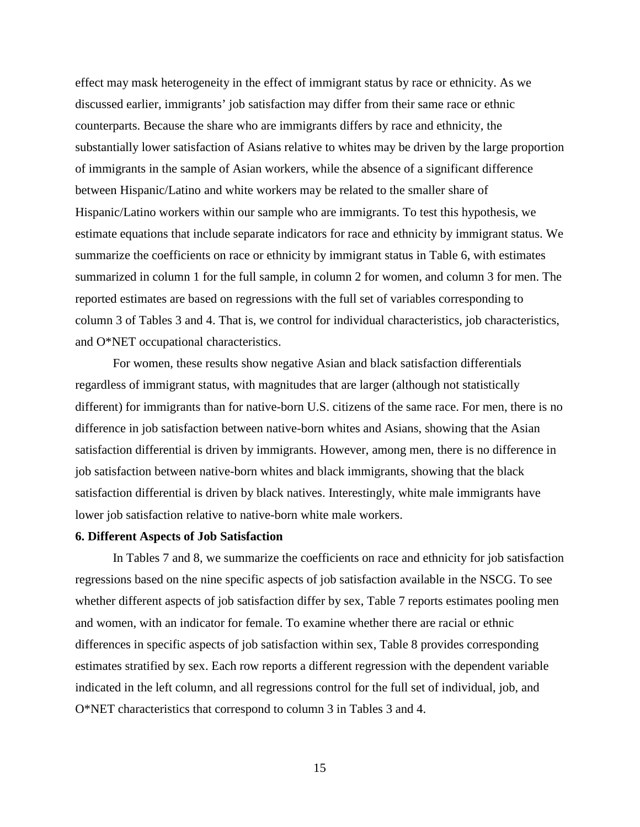effect may mask heterogeneity in the effect of immigrant status by race or ethnicity. As we discussed earlier, immigrants' job satisfaction may differ from their same race or ethnic counterparts. Because the share who are immigrants differs by race and ethnicity, the substantially lower satisfaction of Asians relative to whites may be driven by the large proportion of immigrants in the sample of Asian workers, while the absence of a significant difference between Hispanic/Latino and white workers may be related to the smaller share of Hispanic/Latino workers within our sample who are immigrants. To test this hypothesis, we estimate equations that include separate indicators for race and ethnicity by immigrant status. We summarize the coefficients on race or ethnicity by immigrant status in Table 6, with estimates summarized in column 1 for the full sample, in column 2 for women, and column 3 for men. The reported estimates are based on regressions with the full set of variables corresponding to column 3 of Tables 3 and 4. That is, we control for individual characteristics, job characteristics, and O\*NET occupational characteristics.

For women, these results show negative Asian and black satisfaction differentials regardless of immigrant status, with magnitudes that are larger (although not statistically different) for immigrants than for native-born U.S. citizens of the same race. For men, there is no difference in job satisfaction between native-born whites and Asians, showing that the Asian satisfaction differential is driven by immigrants. However, among men, there is no difference in job satisfaction between native-born whites and black immigrants, showing that the black satisfaction differential is driven by black natives. Interestingly, white male immigrants have lower job satisfaction relative to native-born white male workers.

#### **6. Different Aspects of Job Satisfaction**

In Tables 7 and 8, we summarize the coefficients on race and ethnicity for job satisfaction regressions based on the nine specific aspects of job satisfaction available in the NSCG. To see whether different aspects of job satisfaction differ by sex, Table 7 reports estimates pooling men and women, with an indicator for female. To examine whether there are racial or ethnic differences in specific aspects of job satisfaction within sex, Table 8 provides corresponding estimates stratified by sex. Each row reports a different regression with the dependent variable indicated in the left column, and all regressions control for the full set of individual, job, and O\*NET characteristics that correspond to column 3 in Tables 3 and 4.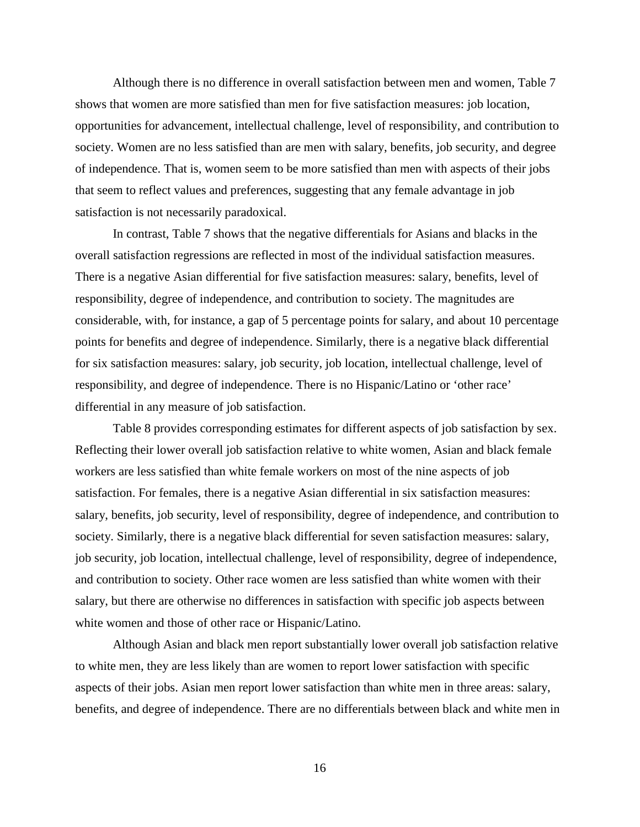Although there is no difference in overall satisfaction between men and women, Table 7 shows that women are more satisfied than men for five satisfaction measures: job location, opportunities for advancement, intellectual challenge, level of responsibility, and contribution to society. Women are no less satisfied than are men with salary, benefits, job security, and degree of independence. That is, women seem to be more satisfied than men with aspects of their jobs that seem to reflect values and preferences, suggesting that any female advantage in job satisfaction is not necessarily paradoxical.

In contrast, Table 7 shows that the negative differentials for Asians and blacks in the overall satisfaction regressions are reflected in most of the individual satisfaction measures. There is a negative Asian differential for five satisfaction measures: salary, benefits, level of responsibility, degree of independence, and contribution to society. The magnitudes are considerable, with, for instance, a gap of 5 percentage points for salary, and about 10 percentage points for benefits and degree of independence. Similarly, there is a negative black differential for six satisfaction measures: salary, job security, job location, intellectual challenge, level of responsibility, and degree of independence. There is no Hispanic/Latino or 'other race' differential in any measure of job satisfaction.

Table 8 provides corresponding estimates for different aspects of job satisfaction by sex. Reflecting their lower overall job satisfaction relative to white women, Asian and black female workers are less satisfied than white female workers on most of the nine aspects of job satisfaction. For females, there is a negative Asian differential in six satisfaction measures: salary, benefits, job security, level of responsibility, degree of independence, and contribution to society. Similarly, there is a negative black differential for seven satisfaction measures: salary, job security, job location, intellectual challenge, level of responsibility, degree of independence, and contribution to society. Other race women are less satisfied than white women with their salary, but there are otherwise no differences in satisfaction with specific job aspects between white women and those of other race or Hispanic/Latino.

Although Asian and black men report substantially lower overall job satisfaction relative to white men, they are less likely than are women to report lower satisfaction with specific aspects of their jobs. Asian men report lower satisfaction than white men in three areas: salary, benefits, and degree of independence. There are no differentials between black and white men in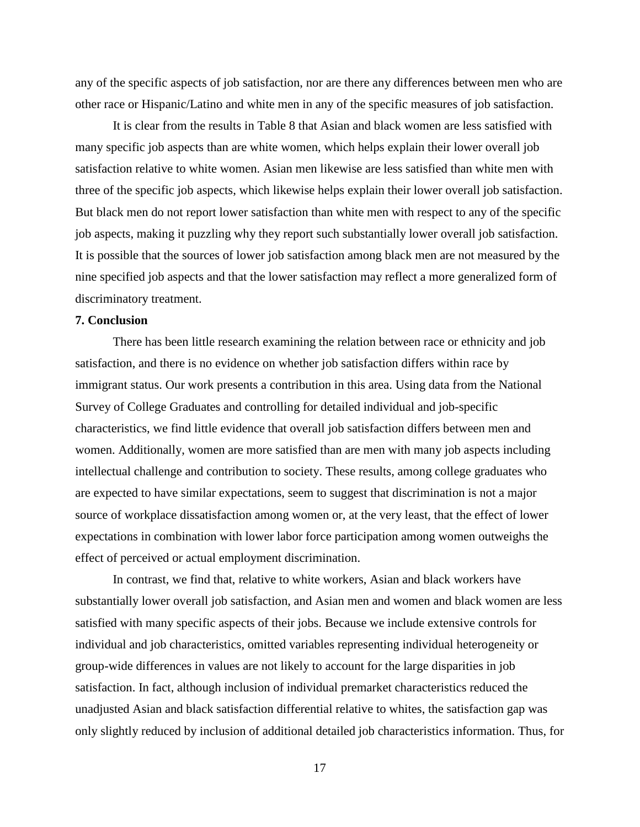any of the specific aspects of job satisfaction, nor are there any differences between men who are other race or Hispanic/Latino and white men in any of the specific measures of job satisfaction.

It is clear from the results in Table 8 that Asian and black women are less satisfied with many specific job aspects than are white women, which helps explain their lower overall job satisfaction relative to white women. Asian men likewise are less satisfied than white men with three of the specific job aspects, which likewise helps explain their lower overall job satisfaction. But black men do not report lower satisfaction than white men with respect to any of the specific job aspects, making it puzzling why they report such substantially lower overall job satisfaction. It is possible that the sources of lower job satisfaction among black men are not measured by the nine specified job aspects and that the lower satisfaction may reflect a more generalized form of discriminatory treatment.

#### **7. Conclusion**

There has been little research examining the relation between race or ethnicity and job satisfaction, and there is no evidence on whether job satisfaction differs within race by immigrant status. Our work presents a contribution in this area. Using data from the National Survey of College Graduates and controlling for detailed individual and job-specific characteristics, we find little evidence that overall job satisfaction differs between men and women. Additionally, women are more satisfied than are men with many job aspects including intellectual challenge and contribution to society. These results, among college graduates who are expected to have similar expectations, seem to suggest that discrimination is not a major source of workplace dissatisfaction among women or, at the very least, that the effect of lower expectations in combination with lower labor force participation among women outweighs the effect of perceived or actual employment discrimination.

In contrast, we find that, relative to white workers, Asian and black workers have substantially lower overall job satisfaction, and Asian men and women and black women are less satisfied with many specific aspects of their jobs. Because we include extensive controls for individual and job characteristics, omitted variables representing individual heterogeneity or group-wide differences in values are not likely to account for the large disparities in job satisfaction. In fact, although inclusion of individual premarket characteristics reduced the unadjusted Asian and black satisfaction differential relative to whites, the satisfaction gap was only slightly reduced by inclusion of additional detailed job characteristics information. Thus, for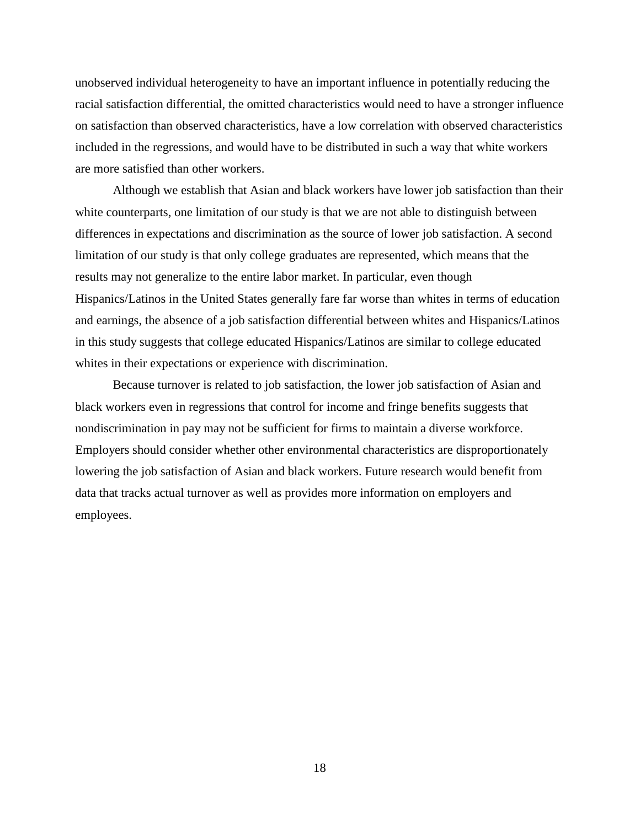unobserved individual heterogeneity to have an important influence in potentially reducing the racial satisfaction differential, the omitted characteristics would need to have a stronger influence on satisfaction than observed characteristics, have a low correlation with observed characteristics included in the regressions, and would have to be distributed in such a way that white workers are more satisfied than other workers.

Although we establish that Asian and black workers have lower job satisfaction than their white counterparts, one limitation of our study is that we are not able to distinguish between differences in expectations and discrimination as the source of lower job satisfaction. A second limitation of our study is that only college graduates are represented, which means that the results may not generalize to the entire labor market. In particular, even though Hispanics/Latinos in the United States generally fare far worse than whites in terms of education and earnings, the absence of a job satisfaction differential between whites and Hispanics/Latinos in this study suggests that college educated Hispanics/Latinos are similar to college educated whites in their expectations or experience with discrimination.

Because turnover is related to job satisfaction, the lower job satisfaction of Asian and black workers even in regressions that control for income and fringe benefits suggests that nondiscrimination in pay may not be sufficient for firms to maintain a diverse workforce. Employers should consider whether other environmental characteristics are disproportionately lowering the job satisfaction of Asian and black workers. Future research would benefit from data that tracks actual turnover as well as provides more information on employers and employees.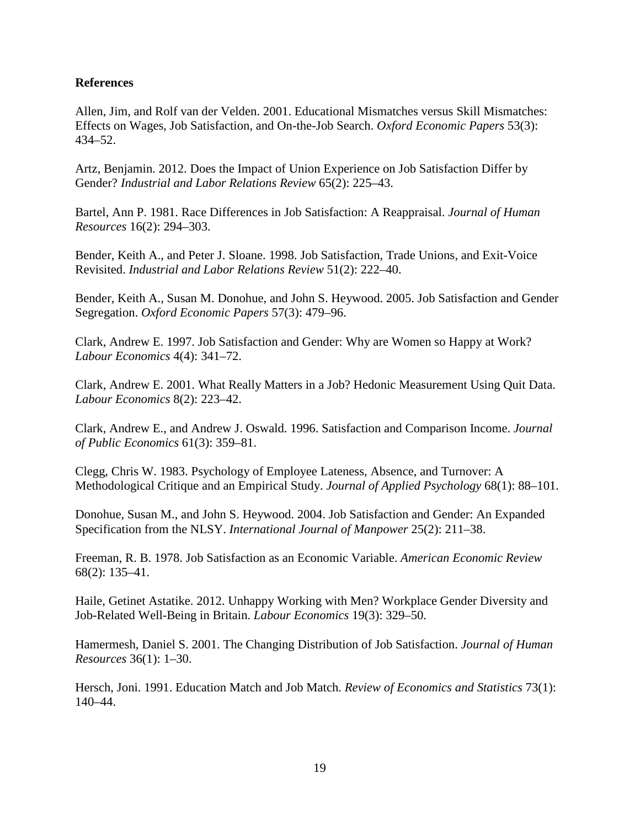### **References**

Allen, Jim, and Rolf van der Velden. 2001. Educational Mismatches versus Skill Mismatches: Effects on Wages, Job Satisfaction, and On-the-Job Search. *Oxford Economic Papers* 53(3): 434–52.

Artz, Benjamin. 2012. Does the Impact of Union Experience on Job Satisfaction Differ by Gender? *Industrial and Labor Relations Review* 65(2): 225–43.

Bartel, Ann P. 1981. Race Differences in Job Satisfaction: A Reappraisal. *Journal of Human Resources* 16(2): 294–303.

Bender, Keith A., and Peter J. Sloane. 1998. Job Satisfaction, Trade Unions, and Exit-Voice Revisited. *Industrial and Labor Relations Review* 51(2): 222–40.

Bender, Keith A., Susan M. Donohue, and John S. Heywood. 2005. Job Satisfaction and Gender Segregation. *Oxford Economic Papers* 57(3): 479–96.

Clark, Andrew E. 1997. Job Satisfaction and Gender: Why are Women so Happy at Work? *Labour Economics* 4(4): 341–72.

Clark, Andrew E. 2001. What Really Matters in a Job? Hedonic Measurement Using Quit Data. *Labour Economics* 8(2): 223–42.

Clark, Andrew E., and Andrew J. Oswald. 1996. Satisfaction and Comparison Income. *Journal of Public Economics* 61(3): 359–81.

Clegg, Chris W. 1983. Psychology of Employee Lateness, Absence, and Turnover: A Methodological Critique and an Empirical Study. *Journal of Applied Psychology* 68(1): 88–101.

Donohue, Susan M., and John S. Heywood. 2004. Job Satisfaction and Gender: An Expanded Specification from the NLSY. *International Journal of Manpower* 25(2): 211–38.

Freeman, R. B. 1978. Job Satisfaction as an Economic Variable. *American Economic Review* 68(2): 135–41.

Haile, Getinet Astatike. 2012. Unhappy Working with Men? Workplace Gender Diversity and Job-Related Well-Being in Britain. *Labour Economics* 19(3): 329–50.

Hamermesh, Daniel S. 2001. The Changing Distribution of Job Satisfaction. *Journal of Human Resources* 36(1): 1–30.

Hersch, Joni. 1991. Education Match and Job Match. *Review of Economics and Statistics* 73(1): 140–44.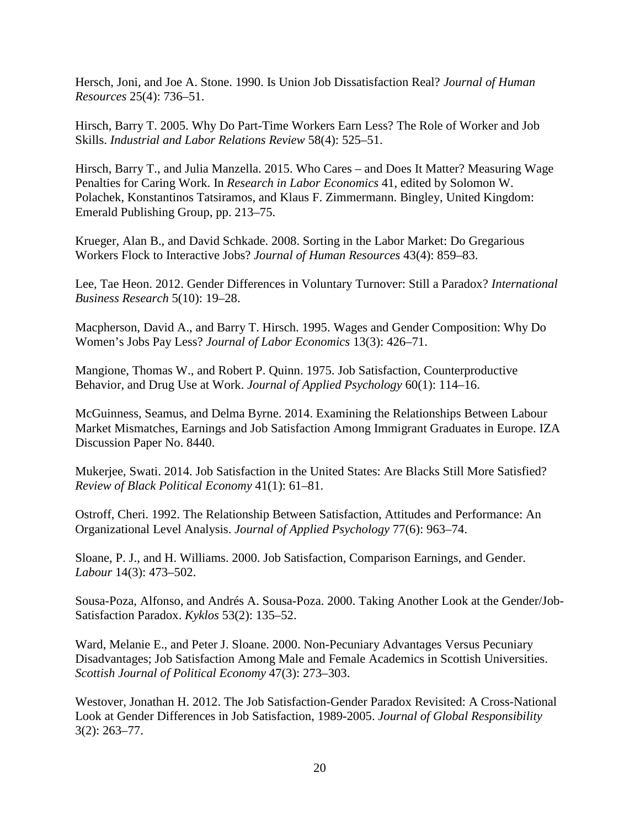Hersch, Joni, and Joe A. Stone. 1990. Is Union Job Dissatisfaction Real? *Journal of Human Resources* 25(4): 736–51.

Hirsch, Barry T. 2005. Why Do Part-Time Workers Earn Less? The Role of Worker and Job Skills. *Industrial and Labor Relations Review* 58(4): 525–51.

Hirsch, Barry T., and Julia Manzella. 2015. Who Cares – and Does It Matter? Measuring Wage Penalties for Caring Work. In *Research in Labor Economics* 41, edited by Solomon W. Polachek, Konstantinos Tatsiramos, and Klaus F. Zimmermann. Bingley, United Kingdom: Emerald Publishing Group, pp. 213–75.

Krueger, Alan B., and David Schkade. 2008. Sorting in the Labor Market: Do Gregarious Workers Flock to Interactive Jobs? *Journal of Human Resources* 43(4): 859–83.

Lee, Tae Heon. 2012. Gender Differences in Voluntary Turnover: Still a Paradox? *International Business Research* 5(10): 19–28.

Macpherson, David A., and Barry T. Hirsch. 1995. Wages and Gender Composition: Why Do Women's Jobs Pay Less? *Journal of Labor Economics* 13(3): 426–71.

Mangione, Thomas W., and Robert P. Quinn. 1975. Job Satisfaction, Counterproductive Behavior, and Drug Use at Work. *Journal of Applied Psychology* 60(1): 114–16.

McGuinness, Seamus, and Delma Byrne. 2014. Examining the Relationships Between Labour Market Mismatches, Earnings and Job Satisfaction Among Immigrant Graduates in Europe. IZA Discussion Paper No. 8440.

Mukerjee, Swati. 2014. Job Satisfaction in the United States: Are Blacks Still More Satisfied? *Review of Black Political Economy* 41(1): 61–81.

Ostroff, Cheri. 1992. The Relationship Between Satisfaction, Attitudes and Performance: An Organizational Level Analysis. *Journal of Applied Psychology* 77(6): 963–74.

Sloane, P. J., and H. Williams. 2000. Job Satisfaction, Comparison Earnings, and Gender. *Labour* 14(3): 473–502.

Sousa-Poza, Alfonso, and Andrés A. Sousa-Poza. 2000. Taking Another Look at the Gender/Job-Satisfaction Paradox. *Kyklos* 53(2): 135–52.

Ward, Melanie E., and Peter J. Sloane. 2000. Non-Pecuniary Advantages Versus Pecuniary Disadvantages; Job Satisfaction Among Male and Female Academics in Scottish Universities. *Scottish Journal of Political Economy* 47(3): 273–303.

Westover, Jonathan H. 2012. The Job Satisfaction-Gender Paradox Revisited: A Cross-National Look at Gender Differences in Job Satisfaction, 1989-2005. *Journal of Global Responsibility* 3(2): 263–77.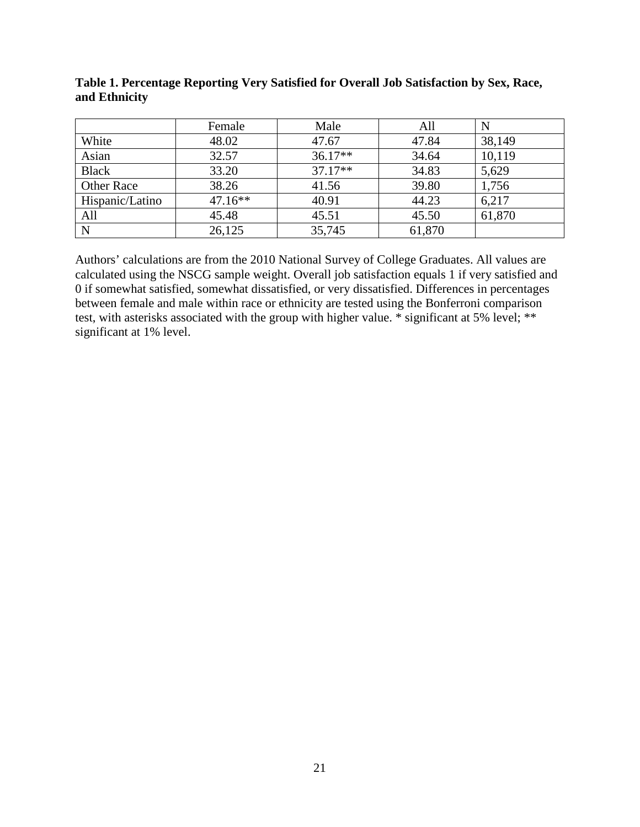|                 | Female    | Male      | All    | N      |
|-----------------|-----------|-----------|--------|--------|
| White           | 48.02     | 47.67     | 47.84  | 38,149 |
| Asian           | 32.57     | $36.17**$ | 34.64  | 10,119 |
| <b>Black</b>    | 33.20     | $37.17**$ | 34.83  | 5,629  |
| Other Race      | 38.26     | 41.56     | 39.80  | 1,756  |
| Hispanic/Latino | $47.16**$ | 40.91     | 44.23  | 6,217  |
| All             | 45.48     | 45.51     | 45.50  | 61,870 |
| N               | 26,125    | 35,745    | 61,870 |        |

**Table 1. Percentage Reporting Very Satisfied for Overall Job Satisfaction by Sex, Race, and Ethnicity**

Authors' calculations are from the 2010 National Survey of College Graduates. All values are calculated using the NSCG sample weight. Overall job satisfaction equals 1 if very satisfied and 0 if somewhat satisfied, somewhat dissatisfied, or very dissatisfied. Differences in percentages between female and male within race or ethnicity are tested using the Bonferroni comparison test, with asterisks associated with the group with higher value. \* significant at 5% level; \*\* significant at 1% level.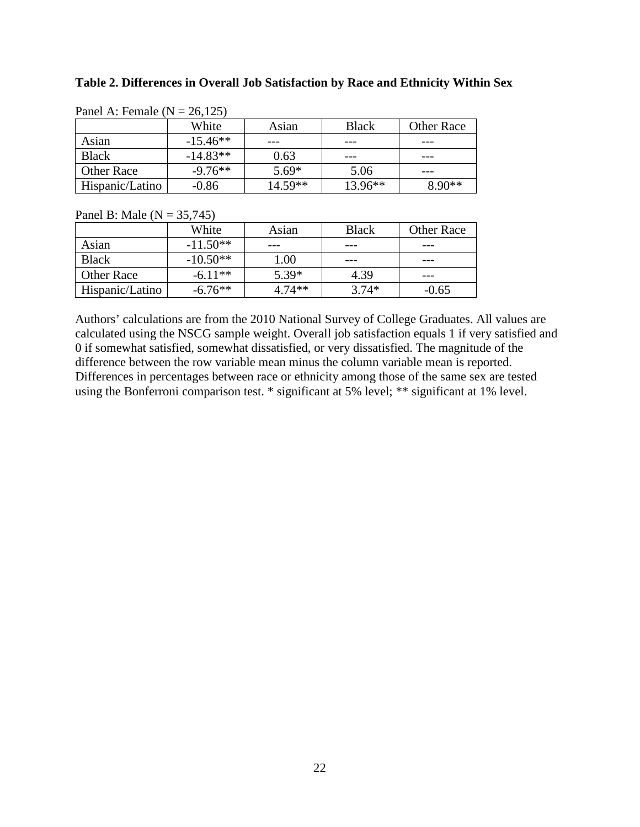#### **Table 2. Differences in Overall Job Satisfaction by Race and Ethnicity Within Sex**

| Patiel A. Felliale $(N - 20, 12)$ |            |           |              |                   |  |  |
|-----------------------------------|------------|-----------|--------------|-------------------|--|--|
|                                   | White      | Asian     | <b>Black</b> | <b>Other Race</b> |  |  |
| Asian                             | $-15.46**$ |           |              |                   |  |  |
| <b>Black</b>                      | $-14.83**$ | 0.63      |              |                   |  |  |
| <b>Other Race</b>                 | $-9.76**$  | $5.69*$   | 5.06         |                   |  |  |
| Hispanic/Latino                   | $-0.86$    | $14.59**$ | $13.96**$    | $8.90**$          |  |  |

 $P<sub>enol</sub> \Lambda \cdot F<sub>omol</sub> \Lambda (N - 26, 125)$ 

#### Panel B: Male ( $N = 35,745$ )

|                   | White      | Asian    | <b>Black</b> | <b>Other Race</b> |
|-------------------|------------|----------|--------------|-------------------|
| Asian             | $-11.50**$ |          |              |                   |
| <b>Black</b>      | $-10.50**$ | 1.00     | ---          | ---               |
| <b>Other Race</b> | $-6.11**$  | $5.39*$  | 4.39         |                   |
| Hispanic/Latino   | $-6.76**$  | $4.74**$ | $3.74*$      | $-0.65$           |

Authors' calculations are from the 2010 National Survey of College Graduates. All values are calculated using the NSCG sample weight. Overall job satisfaction equals 1 if very satisfied and 0 if somewhat satisfied, somewhat dissatisfied, or very dissatisfied. The magnitude of the difference between the row variable mean minus the column variable mean is reported. Differences in percentages between race or ethnicity among those of the same sex are tested using the Bonferroni comparison test. \* significant at 5% level; \*\* significant at 1% level.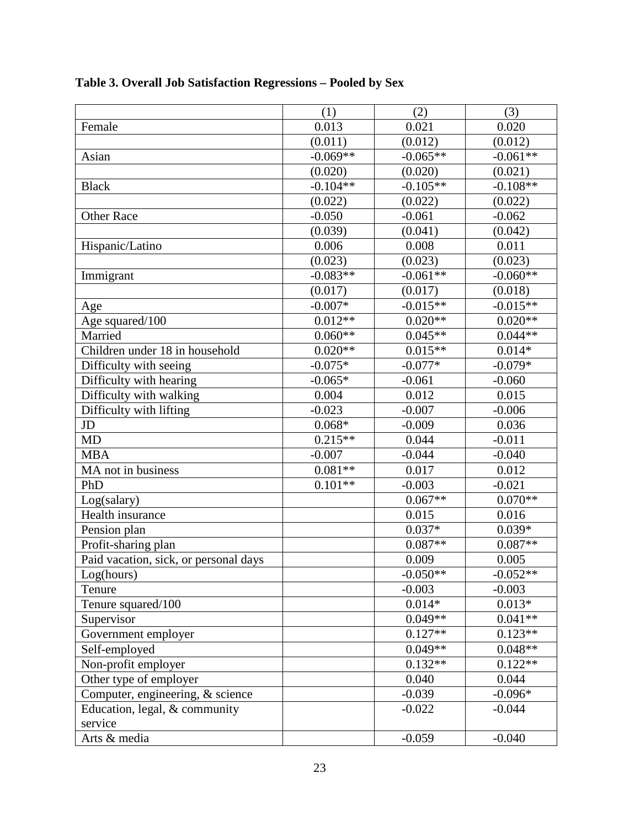|                                       | (1)        | (2)        | (3)        |
|---------------------------------------|------------|------------|------------|
| Female                                | 0.013      | 0.021      | 0.020      |
|                                       | (0.011)    | (0.012)    | (0.012)    |
| Asian                                 | $-0.069**$ | $-0.065**$ | $-0.061**$ |
|                                       | (0.020)    | (0.020)    | (0.021)    |
| <b>Black</b>                          | $-0.104**$ | $-0.105**$ | $-0.108**$ |
|                                       | (0.022)    | (0.022)    | (0.022)    |
| <b>Other Race</b>                     | $-0.050$   | $-0.061$   | $-0.062$   |
|                                       | (0.039)    | (0.041)    | (0.042)    |
| Hispanic/Latino                       | 0.006      | 0.008      | 0.011      |
|                                       | (0.023)    | (0.023)    | (0.023)    |
| Immigrant                             | $-0.083**$ | $-0.061**$ | $-0.060**$ |
|                                       | (0.017)    | (0.017)    | (0.018)    |
| Age                                   | $-0.007*$  | $-0.015**$ | $-0.015**$ |
| Age squared/100                       | $0.012**$  | $0.020**$  | $0.020**$  |
| Married                               | $0.060**$  | $0.045**$  | $0.044**$  |
| Children under 18 in household        | $0.020**$  | $0.015**$  | $0.014*$   |
| Difficulty with seeing                | $-0.075*$  | $-0.077*$  | $-0.079*$  |
| Difficulty with hearing               | $-0.065*$  | $-0.061$   | $-0.060$   |
| Difficulty with walking               | 0.004      | 0.012      | 0.015      |
| Difficulty with lifting               | $-0.023$   | $-0.007$   | $-0.006$   |
| JD                                    | $0.068*$   | $-0.009$   | 0.036      |
| <b>MD</b>                             | $0.215**$  | 0.044      | $-0.011$   |
| <b>MBA</b>                            | $-0.007$   | $-0.044$   | $-0.040$   |
| MA not in business                    | $0.081**$  | 0.017      | 0.012      |
| PhD                                   | $0.101**$  | $-0.003$   | $-0.021$   |
| Log(salary)                           |            | $0.067**$  | $0.070**$  |
| Health insurance                      |            | 0.015      | 0.016      |
| Pension plan                          |            | $0.037*$   | $0.039*$   |
| Profit-sharing plan                   |            | $0.087**$  | $0.087**$  |
| Paid vacation, sick, or personal days |            | 0.009      | 0.005      |
| Log(hours)                            |            | $-0.050**$ | $-0.052**$ |
| Tenure                                |            | $-0.003$   | $-0.003$   |
| Tenure squared/100                    |            | $0.014*$   | $0.013*$   |
| Supervisor                            |            | $0.049**$  | $0.041**$  |
| Government employer                   |            | $0.127**$  | $0.123**$  |
| Self-employed                         |            | $0.049**$  | $0.048**$  |
| Non-profit employer                   |            | $0.132**$  | $0.122**$  |
| Other type of employer                |            | 0.040      | 0.044      |
| Computer, engineering, & science      |            | $-0.039$   | $-0.096*$  |
| Education, legal, & community         |            | $-0.022$   | $-0.044$   |
| service                               |            |            |            |
| Arts & media                          |            | $-0.059$   | $-0.040$   |

| Table 3. Overall Job Satisfaction Regressions - Pooled by Sex |  |
|---------------------------------------------------------------|--|
|---------------------------------------------------------------|--|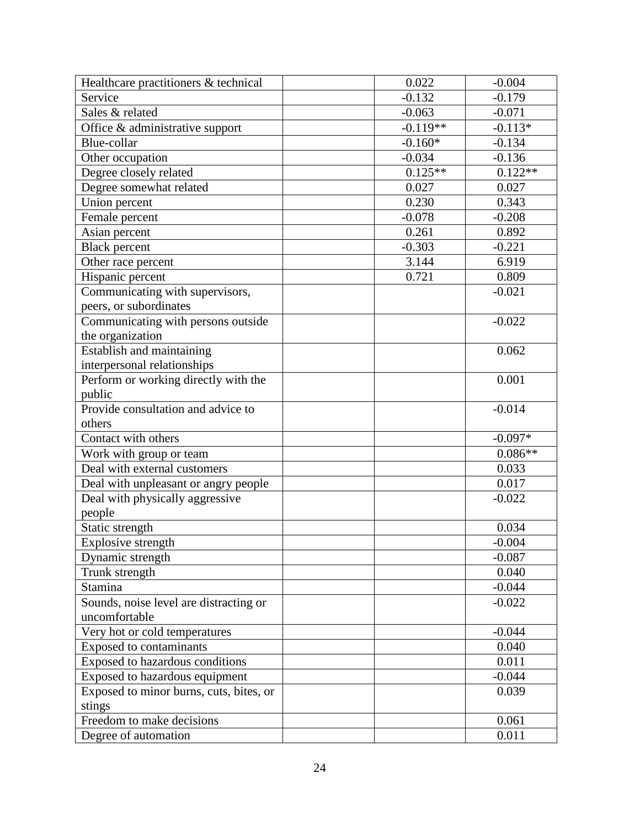| Healthcare practitioners & technical    | 0.022      | $-0.004$  |
|-----------------------------------------|------------|-----------|
| Service                                 | $-0.132$   | $-0.179$  |
| Sales & related                         | $-0.063$   | $-0.071$  |
| Office & administrative support         | $-0.119**$ | $-0.113*$ |
| Blue-collar                             | $-0.160*$  | $-0.134$  |
| Other occupation                        | $-0.034$   | $-0.136$  |
| Degree closely related                  | $0.125**$  | $0.122**$ |
| Degree somewhat related                 | 0.027      | 0.027     |
| Union percent                           | 0.230      | 0.343     |
| Female percent                          | $-0.078$   | $-0.208$  |
| Asian percent                           | 0.261      | 0.892     |
| <b>Black percent</b>                    | $-0.303$   | $-0.221$  |
| Other race percent                      | 3.144      | 6.919     |
| Hispanic percent                        | 0.721      | 0.809     |
| Communicating with supervisors,         |            | $-0.021$  |
| peers, or subordinates                  |            |           |
| Communicating with persons outside      |            | $-0.022$  |
| the organization                        |            |           |
| Establish and maintaining               |            | 0.062     |
| interpersonal relationships             |            |           |
| Perform or working directly with the    |            | 0.001     |
| public                                  |            |           |
| Provide consultation and advice to      |            | $-0.014$  |
| others                                  |            |           |
| Contact with others                     |            | $-0.097*$ |
| Work with group or team                 |            | $0.086**$ |
| Deal with external customers            |            | 0.033     |
| Deal with unpleasant or angry people    |            | 0.017     |
| Deal with physically aggressive         |            | $-0.022$  |
| people                                  |            |           |
| Static strength                         |            | 0.034     |
| Explosive strength                      |            | $-0.004$  |
| Dynamic strength                        |            | $-0.087$  |
| Trunk strength                          |            | 0.040     |
| Stamina                                 |            | $-0.044$  |
| Sounds, noise level are distracting or  |            | $-0.022$  |
| uncomfortable                           |            |           |
| Very hot or cold temperatures           |            | $-0.044$  |
| <b>Exposed to contaminants</b>          |            | 0.040     |
| Exposed to hazardous conditions         |            | 0.011     |
| Exposed to hazardous equipment          |            | $-0.044$  |
| Exposed to minor burns, cuts, bites, or |            | 0.039     |
| stings                                  |            |           |
| Freedom to make decisions               |            | 0.061     |
| Degree of automation                    |            | 0.011     |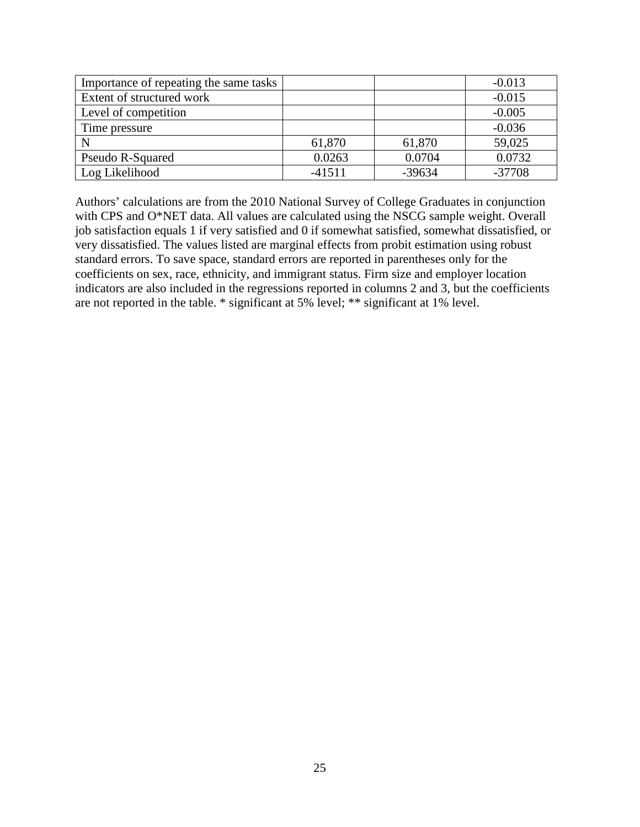| Importance of repeating the same tasks |          |          | $-0.013$ |
|----------------------------------------|----------|----------|----------|
| Extent of structured work              |          |          | $-0.015$ |
| Level of competition                   |          |          | $-0.005$ |
| Time pressure                          |          |          | $-0.036$ |
|                                        | 61,870   | 61,870   | 59,025   |
| Pseudo R-Squared                       | 0.0263   | 0.0704   | 0.0732   |
| Log Likelihood                         | $-41511$ | $-39634$ | $-37708$ |

Authors' calculations are from the 2010 National Survey of College Graduates in conjunction with CPS and O\*NET data. All values are calculated using the NSCG sample weight. Overall job satisfaction equals 1 if very satisfied and 0 if somewhat satisfied, somewhat dissatisfied, or very dissatisfied. The values listed are marginal effects from probit estimation using robust standard errors. To save space, standard errors are reported in parentheses only for the coefficients on sex, race, ethnicity, and immigrant status. Firm size and employer location indicators are also included in the regressions reported in columns 2 and 3, but the coefficients are not reported in the table. \* significant at 5% level; \*\* significant at 1% level.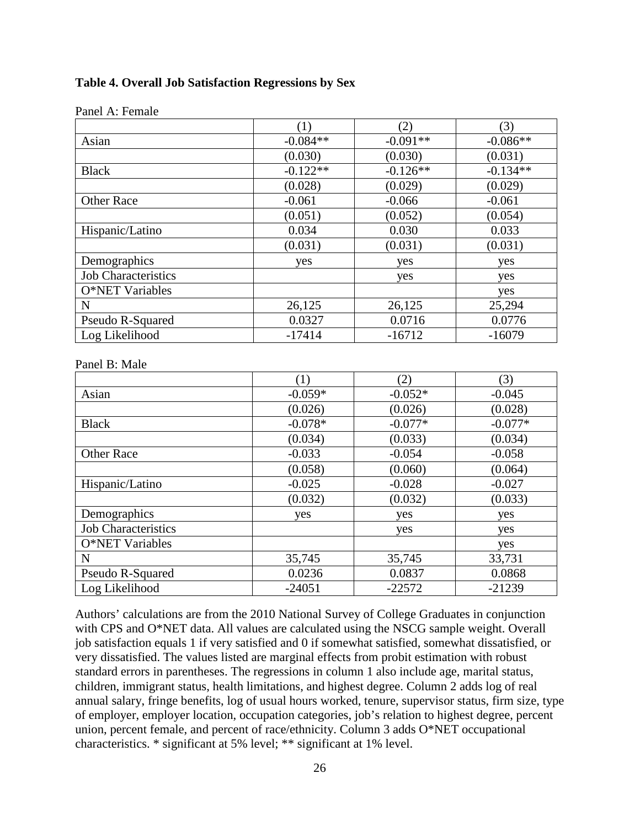### **Table 4. Overall Job Satisfaction Regressions by Sex**

|                            | (1)        | (2)        | (3)        |
|----------------------------|------------|------------|------------|
| Asian                      | $-0.084**$ | $-0.091**$ | $-0.086**$ |
|                            | (0.030)    | (0.030)    | (0.031)    |
| <b>Black</b>               | $-0.122**$ | $-0.126**$ | $-0.134**$ |
|                            | (0.028)    | (0.029)    | (0.029)    |
| <b>Other Race</b>          | $-0.061$   | $-0.066$   | $-0.061$   |
|                            | (0.051)    | (0.052)    | (0.054)    |
| Hispanic/Latino            | 0.034      | 0.030      | 0.033      |
|                            | (0.031)    | (0.031)    | (0.031)    |
| Demographics               | yes        | yes        | yes        |
| <b>Job Characteristics</b> |            | yes        | yes        |
| O*NET Variables            |            |            | yes        |
| N                          | 26,125     | 26,125     | 25,294     |
| Pseudo R-Squared           | 0.0327     | 0.0716     | 0.0776     |
| Log Likelihood             | $-17414$   | $-16712$   | $-16079$   |
| Panel B: Male              |            |            |            |
|                            | (1)        | (2)        | (3)        |
| Asian                      | $-0.059*$  | $-0.052*$  | $-0.045$   |
|                            | (0.026)    | (0.026)    | (0.028)    |

#### Panel A: Female

| Asian                      | $-0.059*$ | $-0.052*$ | $-0.045$  |
|----------------------------|-----------|-----------|-----------|
|                            | (0.026)   | (0.026)   | (0.028)   |
| <b>Black</b>               | $-0.078*$ | $-0.077*$ | $-0.077*$ |
|                            | (0.034)   | (0.033)   | (0.034)   |
| <b>Other Race</b>          | $-0.033$  | $-0.054$  | $-0.058$  |
|                            | (0.058)   | (0.060)   | (0.064)   |
| Hispanic/Latino            | $-0.025$  | $-0.028$  | $-0.027$  |
|                            | (0.032)   | (0.032)   | (0.033)   |
| Demographics               | yes       | yes       | yes       |
| <b>Job Characteristics</b> |           | yes       | yes       |
| O*NET Variables            |           |           | yes       |
| $\mathbf N$                | 35,745    | 35,745    | 33,731    |
| Pseudo R-Squared           | 0.0236    | 0.0837    | 0.0868    |
| Log Likelihood             | $-24051$  | $-22572$  | $-21239$  |

Authors' calculations are from the 2010 National Survey of College Graduates in conjunction with CPS and O\*NET data. All values are calculated using the NSCG sample weight. Overall job satisfaction equals 1 if very satisfied and 0 if somewhat satisfied, somewhat dissatisfied, or very dissatisfied. The values listed are marginal effects from probit estimation with robust standard errors in parentheses. The regressions in column 1 also include age, marital status, children, immigrant status, health limitations, and highest degree. Column 2 adds log of real annual salary, fringe benefits, log of usual hours worked, tenure, supervisor status, firm size, type of employer, employer location, occupation categories, job's relation to highest degree, percent union, percent female, and percent of race/ethnicity. Column 3 adds O\*NET occupational characteristics. \* significant at 5% level; \*\* significant at 1% level.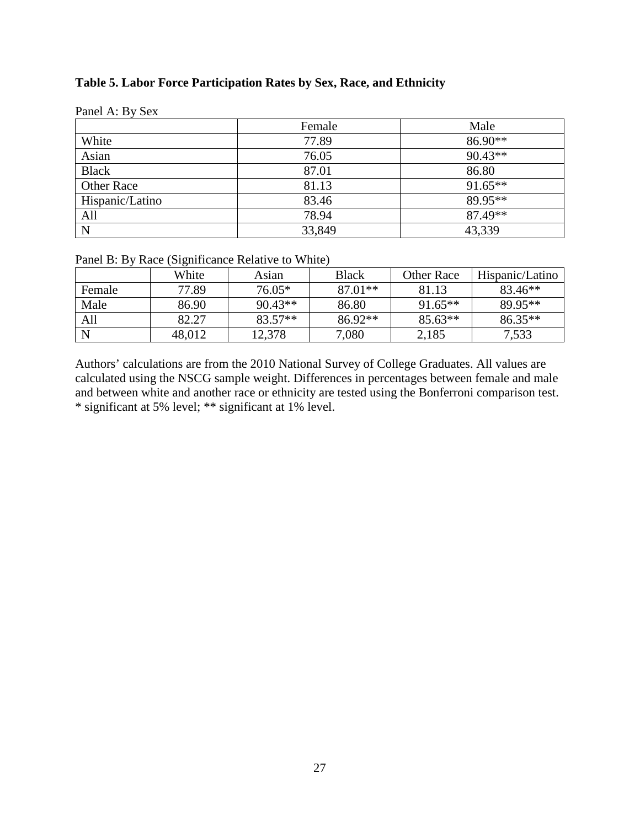### **Table 5. Labor Force Participation Rates by Sex, Race, and Ethnicity**

|                 | Female | Male      |
|-----------------|--------|-----------|
| White           | 77.89  | 86.90**   |
| Asian           | 76.05  | $90.43**$ |
| <b>Black</b>    | 87.01  | 86.80     |
| Other Race      | 81.13  | $91.65**$ |
| Hispanic/Latino | 83.46  | 89.95**   |
| All             | 78.94  | 87.49**   |
| $\mathbf N$     | 33,849 | 43,339    |

### Panel A: By Sex

Panel B: By Race (Significance Relative to White)

|        | White  | Asian     | <b>Black</b> | Other Race | Hispanic/Latino |
|--------|--------|-----------|--------------|------------|-----------------|
| Female | 77.89  | 76.05*    | $87.01**$    | 81.13      | 83.46**         |
| Male   | 86.90  | $90.43**$ | 86.80        | $91.65**$  | 89.95**         |
| All    | 82.27  | $83.57**$ | $86.92**$    | $85.63**$  | $86.35**$       |
|        | 48,012 | 12,378    | 7,080        | 2,185      | 7,533           |

Authors' calculations are from the 2010 National Survey of College Graduates. All values are calculated using the NSCG sample weight. Differences in percentages between female and male and between white and another race or ethnicity are tested using the Bonferroni comparison test. \* significant at 5% level; \*\* significant at 1% level.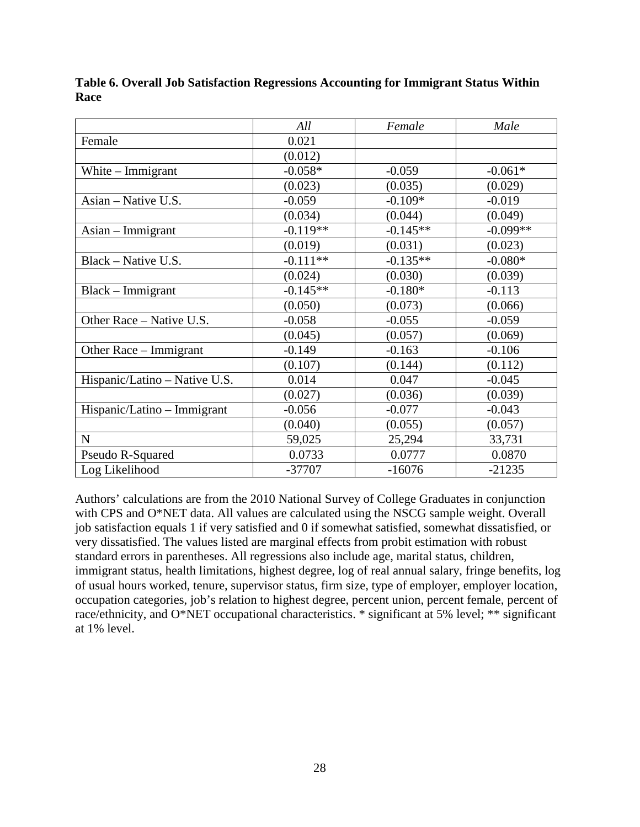|                               | All        | Female     | Male       |
|-------------------------------|------------|------------|------------|
| Female                        | 0.021      |            |            |
|                               | (0.012)    |            |            |
| White $-$ Immigrant           | $-0.058*$  | $-0.059$   | $-0.061*$  |
|                               | (0.023)    | (0.035)    | (0.029)    |
| Asian - Native U.S.           | $-0.059$   | $-0.109*$  | $-0.019$   |
|                               | (0.034)    | (0.044)    | (0.049)    |
| Asian - Immigrant             | $-0.119**$ | $-0.145**$ | $-0.099**$ |
|                               | (0.019)    | (0.031)    | (0.023)    |
| Black – Native U.S.           | $-0.111**$ | $-0.135**$ | $-0.080*$  |
|                               | (0.024)    | (0.030)    | (0.039)    |
| $Black - Immigrant$           | $-0.145**$ | $-0.180*$  | $-0.113$   |
|                               | (0.050)    | (0.073)    | (0.066)    |
| Other Race - Native U.S.      | $-0.058$   | $-0.055$   | $-0.059$   |
|                               | (0.045)    | (0.057)    | (0.069)    |
| Other Race – Immigrant        | $-0.149$   | $-0.163$   | $-0.106$   |
|                               | (0.107)    | (0.144)    | (0.112)    |
| Hispanic/Latino - Native U.S. | 0.014      | 0.047      | $-0.045$   |
|                               | (0.027)    | (0.036)    | (0.039)    |
| Hispanic/Latino – Immigrant   | $-0.056$   | $-0.077$   | $-0.043$   |
|                               | (0.040)    | (0.055)    | (0.057)    |
| $\mathbf N$                   | 59,025     | 25,294     | 33,731     |
| Pseudo R-Squared              | 0.0733     | 0.0777     | 0.0870     |
| Log Likelihood                | -37707     | $-16076$   | $-21235$   |

**Table 6. Overall Job Satisfaction Regressions Accounting for Immigrant Status Within Race**

Authors' calculations are from the 2010 National Survey of College Graduates in conjunction with CPS and O\*NET data. All values are calculated using the NSCG sample weight. Overall job satisfaction equals 1 if very satisfied and 0 if somewhat satisfied, somewhat dissatisfied, or very dissatisfied. The values listed are marginal effects from probit estimation with robust standard errors in parentheses. All regressions also include age, marital status, children, immigrant status, health limitations, highest degree, log of real annual salary, fringe benefits, log of usual hours worked, tenure, supervisor status, firm size, type of employer, employer location, occupation categories, job's relation to highest degree, percent union, percent female, percent of race/ethnicity, and O\*NET occupational characteristics. \* significant at 5% level; \*\* significant at 1% level.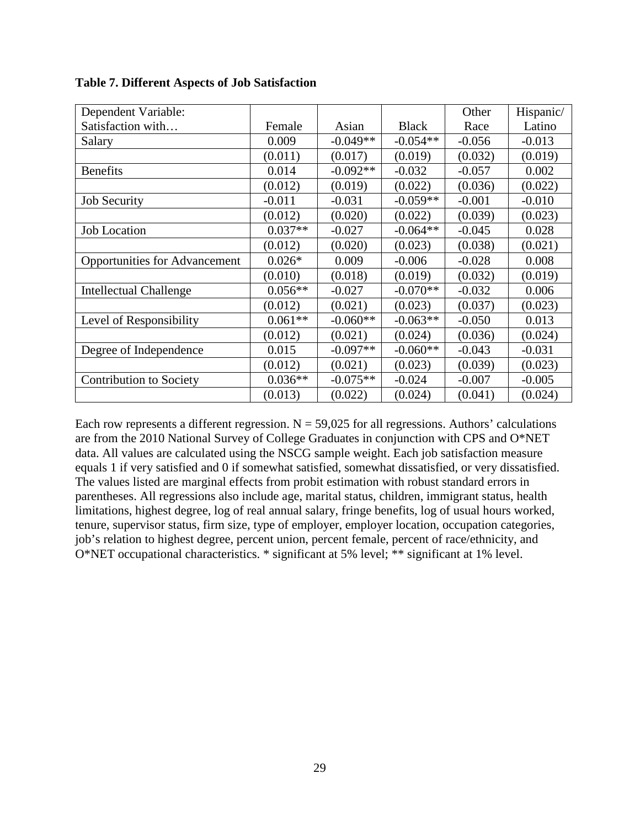| Dependent Variable:           |           |            |              | Other    | Hispanic/ |
|-------------------------------|-----------|------------|--------------|----------|-----------|
| Satisfaction with             | Female    | Asian      | <b>Black</b> | Race     | Latino    |
| Salary                        | 0.009     | $-0.049**$ | $-0.054**$   | $-0.056$ | $-0.013$  |
|                               | (0.011)   | (0.017)    | (0.019)      | (0.032)  | (0.019)   |
| <b>Benefits</b>               | 0.014     | $-0.092**$ | $-0.032$     | $-0.057$ | 0.002     |
|                               | (0.012)   | (0.019)    | (0.022)      | (0.036)  | (0.022)   |
| <b>Job Security</b>           | $-0.011$  | $-0.031$   | $-0.059**$   | $-0.001$ | $-0.010$  |
|                               | (0.012)   | (0.020)    | (0.022)      | (0.039)  | (0.023)   |
| <b>Job Location</b>           | $0.037**$ | $-0.027$   | $-0.064**$   | $-0.045$ | 0.028     |
|                               | (0.012)   | (0.020)    | (0.023)      | (0.038)  | (0.021)   |
| Opportunities for Advancement | $0.026*$  | 0.009      | $-0.006$     | $-0.028$ | 0.008     |
|                               | (0.010)   | (0.018)    | (0.019)      | (0.032)  | (0.019)   |
| <b>Intellectual Challenge</b> | $0.056**$ | $-0.027$   | $-0.070**$   | $-0.032$ | 0.006     |
|                               | (0.012)   | (0.021)    | (0.023)      | (0.037)  | (0.023)   |
| Level of Responsibility       | $0.061**$ | $-0.060**$ | $-0.063**$   | $-0.050$ | 0.013     |
|                               | (0.012)   | (0.021)    | (0.024)      | (0.036)  | (0.024)   |
| Degree of Independence        | 0.015     | $-0.097**$ | $-0.060**$   | $-0.043$ | $-0.031$  |
|                               | (0.012)   | (0.021)    | (0.023)      | (0.039)  | (0.023)   |
| Contribution to Society       | $0.036**$ | $-0.075**$ | $-0.024$     | $-0.007$ | $-0.005$  |
|                               | (0.013)   | (0.022)    | (0.024)      | (0.041)  | (0.024)   |

**Table 7. Different Aspects of Job Satisfaction**

Each row represents a different regression.  $N = 59,025$  for all regressions. Authors' calculations are from the 2010 National Survey of College Graduates in conjunction with CPS and O\*NET data. All values are calculated using the NSCG sample weight. Each job satisfaction measure equals 1 if very satisfied and 0 if somewhat satisfied, somewhat dissatisfied, or very dissatisfied. The values listed are marginal effects from probit estimation with robust standard errors in parentheses. All regressions also include age, marital status, children, immigrant status, health limitations, highest degree, log of real annual salary, fringe benefits, log of usual hours worked, tenure, supervisor status, firm size, type of employer, employer location, occupation categories, job's relation to highest degree, percent union, percent female, percent of race/ethnicity, and O\*NET occupational characteristics. \* significant at 5% level; \*\* significant at 1% level.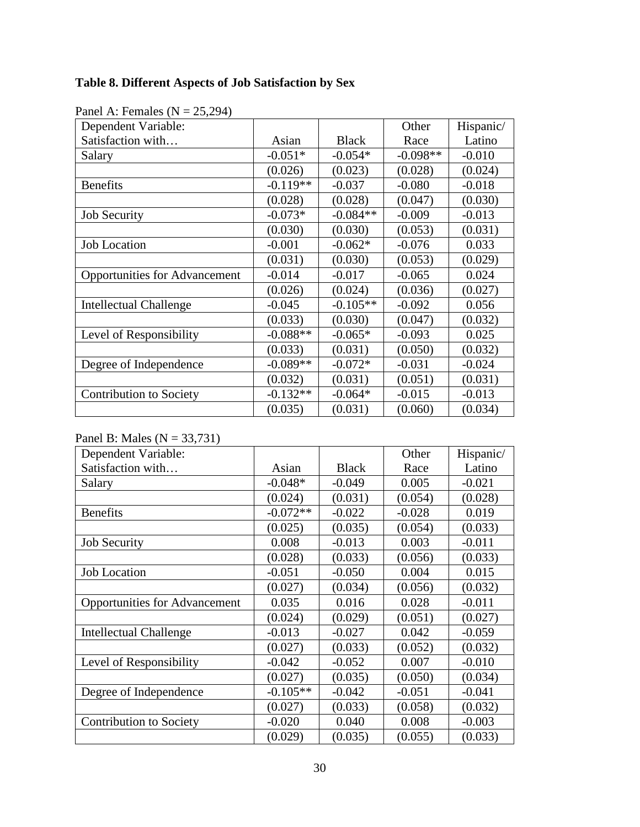## **Table 8. Different Aspects of Job Satisfaction by Sex**

| Dependent Variable:                  |            |              | Other      | Hispanic/ |
|--------------------------------------|------------|--------------|------------|-----------|
| Satisfaction with                    | Asian      | <b>Black</b> | Race       | Latino    |
| Salary                               | $-0.051*$  | $-0.054*$    | $-0.098**$ | $-0.010$  |
|                                      | (0.026)    | (0.023)      | (0.028)    | (0.024)   |
| <b>Benefits</b>                      | $-0.119**$ | $-0.037$     | $-0.080$   | $-0.018$  |
|                                      | (0.028)    | (0.028)      | (0.047)    | (0.030)   |
| <b>Job Security</b>                  | $-0.073*$  | $-0.084**$   | $-0.009$   | $-0.013$  |
|                                      | (0.030)    | (0.030)      | (0.053)    | (0.031)   |
| <b>Job Location</b>                  | $-0.001$   | $-0.062*$    | $-0.076$   | 0.033     |
|                                      | (0.031)    | (0.030)      | (0.053)    | (0.029)   |
| <b>Opportunities for Advancement</b> | $-0.014$   | $-0.017$     | $-0.065$   | 0.024     |
|                                      | (0.026)    | (0.024)      | (0.036)    | (0.027)   |
| <b>Intellectual Challenge</b>        | $-0.045$   | $-0.105**$   | $-0.092$   | 0.056     |
|                                      | (0.033)    | (0.030)      | (0.047)    | (0.032)   |
| Level of Responsibility              | $-0.088**$ | $-0.065*$    | $-0.093$   | 0.025     |
|                                      | (0.033)    | (0.031)      | (0.050)    | (0.032)   |
| Degree of Independence               | $-0.089**$ | $-0.072*$    | $-0.031$   | $-0.024$  |
|                                      | (0.032)    | (0.031)      | (0.051)    | (0.031)   |
| Contribution to Society              | $-0.132**$ | $-0.064*$    | $-0.015$   | $-0.013$  |
|                                      | (0.035)    | (0.031)      | (0.060)    | (0.034)   |

Panel A: Females  $(N = 25,294)$ 

## Panel B: Males ( $N = 33,731$ )

| Dependent Variable:                  |            |              | Other    | Hispanic/ |
|--------------------------------------|------------|--------------|----------|-----------|
| Satisfaction with                    | Asian      | <b>Black</b> | Race     | Latino    |
| Salary                               | $-0.048*$  | $-0.049$     | 0.005    | $-0.021$  |
|                                      | (0.024)    | (0.031)      | (0.054)  | (0.028)   |
| <b>Benefits</b>                      | $-0.072**$ | $-0.022$     | $-0.028$ | 0.019     |
|                                      | (0.025)    | (0.035)      | (0.054)  | (0.033)   |
| <b>Job Security</b>                  | 0.008      | $-0.013$     | 0.003    | $-0.011$  |
|                                      | (0.028)    | (0.033)      | (0.056)  | (0.033)   |
| <b>Job Location</b>                  | $-0.051$   | $-0.050$     | 0.004    | 0.015     |
|                                      | (0.027)    | (0.034)      | (0.056)  | (0.032)   |
| <b>Opportunities for Advancement</b> | 0.035      | 0.016        | 0.028    | $-0.011$  |
|                                      | (0.024)    | (0.029)      | (0.051)  | (0.027)   |
| <b>Intellectual Challenge</b>        | $-0.013$   | $-0.027$     | 0.042    | $-0.059$  |
|                                      | (0.027)    | (0.033)      | (0.052)  | (0.032)   |
| Level of Responsibility              | $-0.042$   | $-0.052$     | 0.007    | $-0.010$  |
|                                      | (0.027)    | (0.035)      | (0.050)  | (0.034)   |
| Degree of Independence               | $-0.105**$ | $-0.042$     | $-0.051$ | $-0.041$  |
|                                      | (0.027)    | (0.033)      | (0.058)  | (0.032)   |
| Contribution to Society              | $-0.020$   | 0.040        | 0.008    | $-0.003$  |
|                                      | (0.029)    | (0.035)      | (0.055)  | (0.033)   |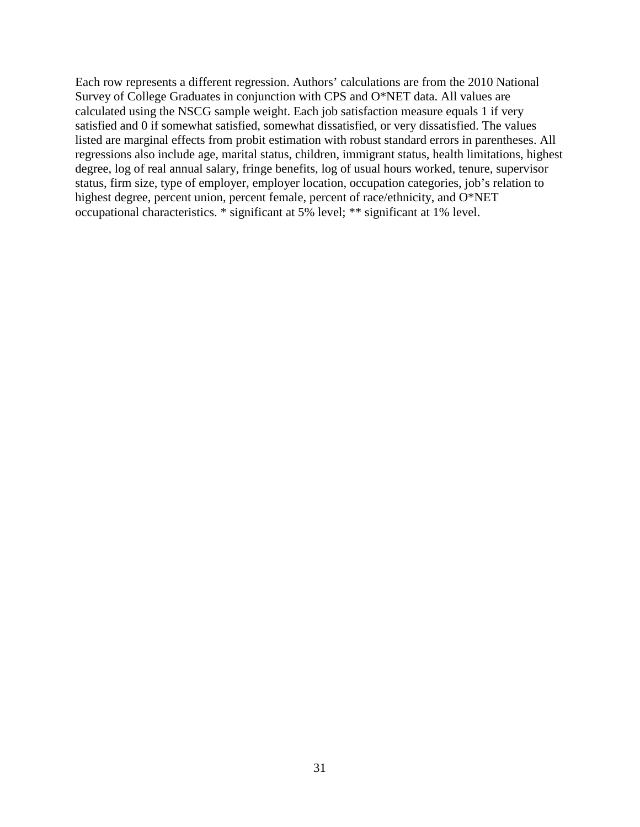Each row represents a different regression. Authors' calculations are from the 2010 National Survey of College Graduates in conjunction with CPS and O\*NET data. All values are calculated using the NSCG sample weight. Each job satisfaction measure equals 1 if very satisfied and 0 if somewhat satisfied, somewhat dissatisfied, or very dissatisfied. The values listed are marginal effects from probit estimation with robust standard errors in parentheses. All regressions also include age, marital status, children, immigrant status, health limitations, highest degree, log of real annual salary, fringe benefits, log of usual hours worked, tenure, supervisor status, firm size, type of employer, employer location, occupation categories, job's relation to highest degree, percent union, percent female, percent of race/ethnicity, and O\*NET occupational characteristics. \* significant at 5% level; \*\* significant at 1% level.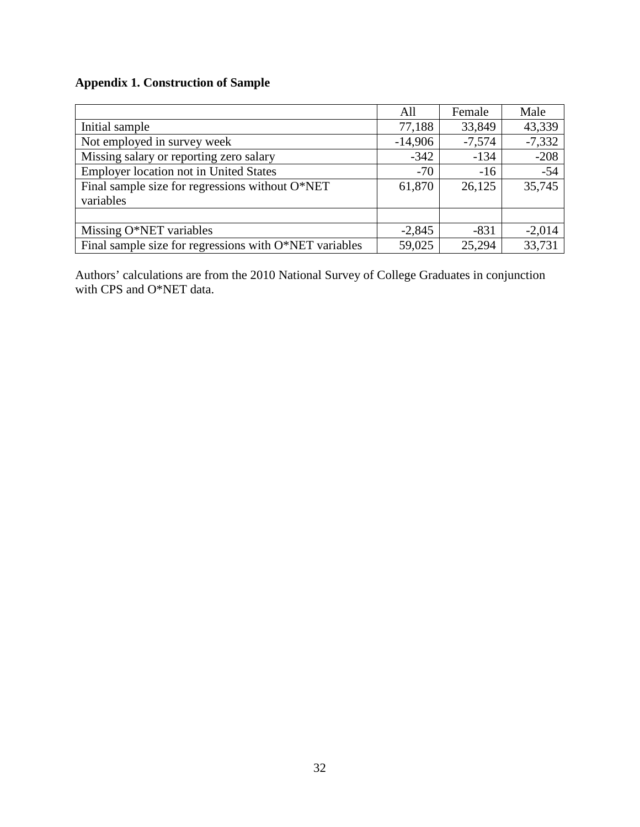## **Appendix 1. Construction of Sample**

|                                                        | All       | Female   | Male     |
|--------------------------------------------------------|-----------|----------|----------|
| Initial sample                                         | 77,188    | 33,849   | 43,339   |
| Not employed in survey week                            | $-14,906$ | $-7,574$ | $-7,332$ |
| Missing salary or reporting zero salary                | $-342$    | $-134$   | $-208$   |
| Employer location not in United States                 | $-70$     | $-16$    | $-54$    |
| Final sample size for regressions without O*NET        | 61,870    | 26,125   | 35,745   |
| variables                                              |           |          |          |
|                                                        |           |          |          |
| Missing O*NET variables                                | $-2,845$  | $-831$   | $-2,014$ |
| Final sample size for regressions with O*NET variables | 59,025    | 25,294   | 33,731   |

Authors' calculations are from the 2010 National Survey of College Graduates in conjunction with CPS and O\*NET data.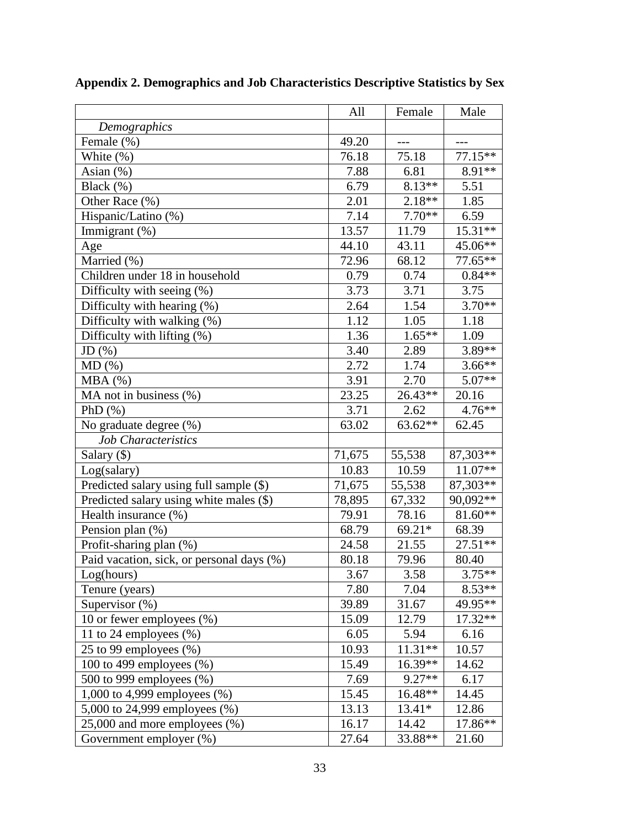|                                           | All    | Female    | Male       |
|-------------------------------------------|--------|-----------|------------|
| Demographics                              |        |           |            |
| Female (%)                                | 49.20  | ---       | ---        |
| White (%)                                 | 76.18  | 75.18     | 77.15**    |
| Asian $(\%)$                              | 7.88   | 6.81      | 8.91**     |
| Black $(\%)$                              | 6.79   | 8.13**    | 5.51       |
| Other Race (%)                            | 2.01   | $2.18**$  | 1.85       |
| Hispanic/Latino (%)                       | 7.14   | $7.70**$  | 6.59       |
| Immigrant (%)                             | 13.57  | 11.79     | 15.31**    |
| Age                                       | 44.10  | 43.11     | 45.06**    |
| Married (%)                               | 72.96  | 68.12     | $77.65**$  |
| Children under 18 in household            | 0.79   | 0.74      | $0.84**$   |
| Difficulty with seeing (%)                | 3.73   | 3.71      | 3.75       |
| Difficulty with hearing (%)               | 2.64   | 1.54      | $3.70**$   |
| Difficulty with walking (%)               | 1.12   | 1.05      | 1.18       |
| Difficulty with lifting (%)               | 1.36   | $1.65**$  | 1.09       |
| JD(%)                                     | 3.40   | 2.89      | 3.89**     |
| MD(%)                                     | 2.72   | 1.74      | $3.66**$   |
| MBA(%)                                    | 3.91   | 2.70      | $5.07**$   |
| MA not in business $(\%)$                 | 23.25  | 26.43**   | 20.16      |
| PhD $(\% )$                               | 3.71   | 2.62      | $4.76**$   |
| No graduate degree (%)                    | 63.02  | 63.62**   | 62.45      |
| <b>Job Characteristics</b>                |        |           |            |
| Salary $(\$)$                             | 71,675 | 55,538    | 87,303**   |
| Log(salary)                               | 10.83  | 10.59     | $11.07**$  |
| Predicted salary using full sample (\$)   | 71,675 | 55,538    | $87,303**$ |
| Predicted salary using white males (\$)   | 78,895 | 67,332    | 90,092**   |
| Health insurance (%)                      | 79.91  | 78.16     | $81.60**$  |
| Pension plan (%)                          | 68.79  | 69.21*    | 68.39      |
| Profit-sharing plan (%)                   | 24.58  | 21.55     | 27.51**    |
| Paid vacation, sick, or personal days (%) | 80.18  | 79.96     | 80.40      |
| Log(hours)                                | 3.67   | 3.58      | $3.75**$   |
| Tenure (years)                            | 7.80   | 7.04      | $8.53**$   |
| Supervisor (%)                            | 39.89  | 31.67     | 49.95**    |
| 10 or fewer employees (%)                 | 15.09  | 12.79     | 17.32**    |
| 11 to 24 employees $(\%)$                 | 6.05   | 5.94      | 6.16       |
| 25 to 99 employees $(\%)$                 | 10.93  | 11.31**   | 10.57      |
| 100 to 499 employees $(\%)$               | 15.49  | $16.39**$ | 14.62      |
| 500 to 999 employees (%)                  | 7.69   | $9.27**$  | 6.17       |
| 1,000 to 4,999 employees (%)              | 15.45  | 16.48**   | 14.45      |
| 5,000 to 24,999 employees (%)             | 13.13  | $13.41*$  | 12.86      |
| $25,000$ and more employees $(\%)$        | 16.17  | 14.42     | 17.86**    |
| Government employer (%)                   | 27.64  | 33.88**   | 21.60      |

**Appendix 2. Demographics and Job Characteristics Descriptive Statistics by Sex**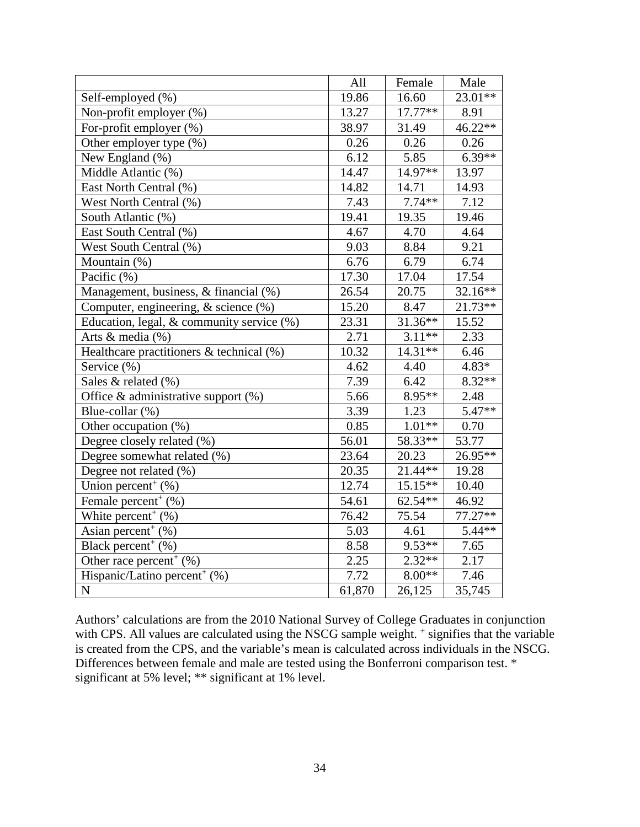|                                                | All    | Female   | Male      |
|------------------------------------------------|--------|----------|-----------|
| Self-employed (%)                              | 19.86  | 16.60    | 23.01**   |
| Non-profit employer (%)                        | 13.27  | 17.77**  | 8.91      |
| For-profit employer (%)                        | 38.97  | 31.49    | 46.22**   |
| Other employer type (%)                        | 0.26   | 0.26     | 0.26      |
| New England (%)                                | 6.12   | 5.85     | $6.39**$  |
| Middle Atlantic (%)                            | 14.47  | 14.97**  | 13.97     |
| East North Central (%)                         | 14.82  | 14.71    | 14.93     |
| West North Central (%)                         | 7.43   | $7.74**$ | 7.12      |
| South Atlantic (%)                             | 19.41  | 19.35    | 19.46     |
| East South Central (%)                         | 4.67   | 4.70     | 4.64      |
| West South Central (%)                         | 9.03   | 8.84     | 9.21      |
| Mountain (%)                                   | 6.76   | 6.79     | 6.74      |
| Pacific (%)                                    | 17.30  | 17.04    | 17.54     |
| Management, business, & financial (%)          | 26.54  | 20.75    | 32.16**   |
| Computer, engineering, & science (%)           | 15.20  | 8.47     | 21.73**   |
| Education, legal, & community service (%)      | 23.31  | 31.36**  | 15.52     |
| Arts & media (%)                               | 2.71   | $3.11**$ | 2.33      |
| Healthcare practitioners $\&$ technical $(\%)$ | 10.32  | 14.31**  | 6.46      |
| Service (%)                                    | 4.62   | 4.40     | 4.83*     |
| Sales & related (%)                            | 7.39   | 6.42     | 8.32**    |
| Office $\&$ administrative support $(\%)$      | 5.66   | $8.95**$ | 2.48      |
| Blue-collar (%)                                | 3.39   | 1.23     | 5.47**    |
| Other occupation (%)                           | 0.85   | $1.01**$ | 0.70      |
| Degree closely related (%)                     | 56.01  | 58.33**  | 53.77     |
| Degree somewhat related (%)                    | 23.64  | 20.23    | 26.95**   |
| Degree not related (%)                         | 20.35  | 21.44**  | 19.28     |
| Union percent <sup>+</sup> $(\% )$             | 12.74  | 15.15**  | 10.40     |
| Female percent <sup>+</sup> $(\% )$            | 54.61  | 62.54**  | 46.92     |
| White percent <sup>+</sup> $(\% )$             | 76.42  | 75.54    | $77.27**$ |
| Asian percent <sup>+</sup> $(\% )$             | 5.03   | 4.61     | 5.44**    |
| Black percent <sup>+</sup> $(\%)$              | 8.58   | 9.53**   | 7.65      |
| Other race percent <sup>+</sup> $(\%)$         | 2.25   | $2.32**$ | 2.17      |
| Hispanic/Latino percent <sup>+</sup> (%)       | 7.72   | $8.00**$ | 7.46      |
| ${\bf N}$                                      | 61,870 | 26,125   | 35,745    |

Authors' calculations are from the 2010 National Survey of College Graduates in conjunction with CPS. All values are calculated using the NSCG sample weight.  $^+$  signifies that the variable is created from the CPS, and the variable's mean is calculated across individuals in the NSCG. Differences between female and male are tested using the Bonferroni comparison test. \* significant at 5% level; \*\* significant at 1% level.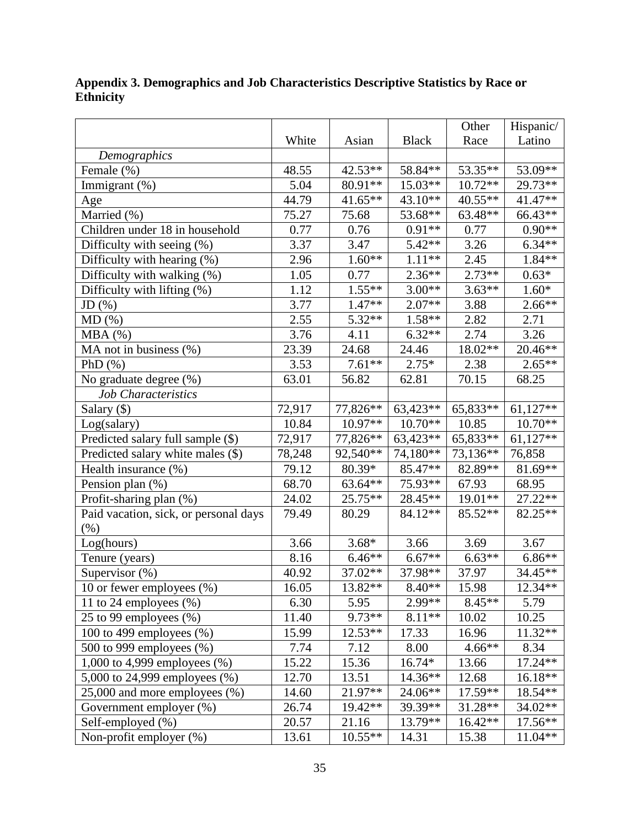|                                       |        |           |              | Other     | Hispanic/  |
|---------------------------------------|--------|-----------|--------------|-----------|------------|
|                                       | White  | Asian     | <b>Black</b> | Race      | Latino     |
| Demographics                          |        |           |              |           |            |
| Female (%)                            | 48.55  | 42.53**   | 58.84**      | 53.35**   | 53.09**    |
| Immigrant (%)                         | 5.04   | 80.91**   | 15.03**      | $10.72**$ | 29.73**    |
| Age                                   | 44.79  | $41.65**$ | 43.10**      | 40.55**   | 41.47**    |
| Married (%)                           | 75.27  | 75.68     | 53.68**      | 63.48**   | $66.43**$  |
| Children under 18 in household        | 0.77   | 0.76      | $0.91**$     | 0.77      | $0.90**$   |
| Difficulty with seeing $(\%)$         | 3.37   | 3.47      | $5.42**$     | 3.26      | $6.34**$   |
| Difficulty with hearing (%)           | 2.96   | $1.60**$  | $1.11**$     | 2.45      | 1.84**     |
| Difficulty with walking (%)           | 1.05   | 0.77      | $2.36**$     | $2.73**$  | $0.63*$    |
| Difficulty with lifting (%)           | 1.12   | $1.55**$  | $3.00**$     | $3.63**$  | $1.60*$    |
| JD(%)                                 | 3.77   | $1.47**$  | $2.07**$     | 3.88      | $2.66**$   |
| MD(%)                                 | 2.55   | $5.32**$  | $1.58**$     | 2.82      | 2.71       |
| $MBA$ (%)                             | 3.76   | 4.11      | $6.32**$     | 2.74      | 3.26       |
| MA not in business (%)                | 23.39  | 24.68     | 24.46        | 18.02**   | $20.46**$  |
| PhD $(\% )$                           | 3.53   | $7.61**$  | $2.75*$      | 2.38      | $2.65**$   |
| No graduate degree (%)                | 63.01  | 56.82     | 62.81        | 70.15     | 68.25      |
| <b>Job Characteristics</b>            |        |           |              |           |            |
| Salary (\$)                           | 72,917 | 77,826**  | 63,423**     | 65,833**  | $61,127**$ |
| Log(salary)                           | 10.84  | 10.97**   | 10.70**      | 10.85     | $10.70**$  |
| Predicted salary full sample (\$)     | 72,917 | 77,826**  | 63,423**     | 65,833**  | 61,127**   |
| Predicted salary white males (\$)     | 78,248 | 92,540**  | 74,180**     | 73,136**  | 76,858     |
| Health insurance (%)                  | 79.12  | 80.39*    | 85.47**      | 82.89**   | 81.69**    |
| Pension plan (%)                      | 68.70  | 63.64**   | 75.93**      | 67.93     | 68.95      |
| Profit-sharing plan (%)               | 24.02  | 25.75**   | 28.45**      | $19.01**$ | 27.22**    |
| Paid vacation, sick, or personal days | 79.49  | 80.29     | 84.12**      | 85.52**   | 82.25**    |
| $(\%)$                                |        |           |              |           |            |
| Log(hours)                            | 3.66   | $3.68*$   | 3.66         | 3.69      | 3.67       |
| Tenure (years)                        | 8.16   | $6.46**$  | $6.67**$     | $6.63**$  | $6.86**$   |
| Supervisor (%)                        | 40.92  | 37.02**   | 37.98**      | 37.97     | 34.45**    |
| 10 or fewer employees (%)             | 16.05  | 13.82**   | $8.40**$     | 15.98     | 12.34**    |
| 11 to 24 employees $(\%)$             | 6.30   | 5.95      | 2.99**       | $8.45**$  | 5.79       |
| 25 to 99 employees $(\%)$             | 11.40  | 9.73**    | $8.11**$     | 10.02     | 10.25      |
| 100 to 499 employees $(\%)$           | 15.99  | 12.53**   | 17.33        | 16.96     | 11.32**    |
| 500 to 999 employees $(\%)$           | 7.74   | 7.12      | 8.00         | $4.66**$  | 8.34       |
| 1,000 to 4,999 employees (%)          | 15.22  | 15.36     | 16.74*       | 13.66     | 17.24**    |
| 5,000 to 24,999 employees (%)         | 12.70  | 13.51     | 14.36**      | 12.68     | 16.18**    |
| $25,000$ and more employees $(\%)$    | 14.60  | 21.97**   | 24.06**      | 17.59**   | 18.54**    |
| Government employer (%)               | 26.74  | 19.42**   | 39.39**      | 31.28**   | 34.02**    |
| Self-employed (%)                     | 20.57  | 21.16     | 13.79**      | 16.42**   | 17.56**    |
| Non-profit employer (%)               | 13.61  | $10.55**$ | 14.31        | 15.38     | 11.04**    |

**Appendix 3. Demographics and Job Characteristics Descriptive Statistics by Race or Ethnicity**